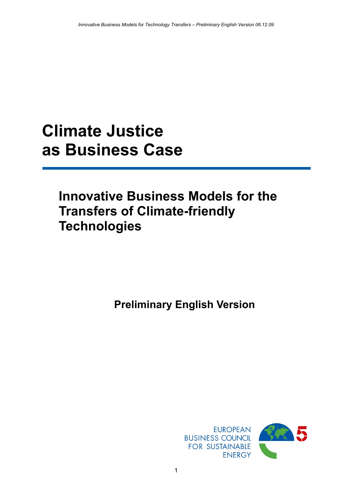# **Climate Justice as Business Case**

# **Innovative Business Models for the Transfers of Climate-friendly Technologies**

**Preliminary English Version**

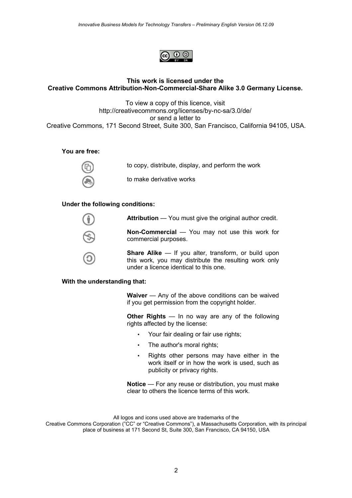

# **This work is licensed under the Creative Commons Attribution-Non-Commercial-Share Alike 3.0 Germany License.**

To view a copy of this licence, visit http://creativecommons.org/licenses/by-nc-sa/3.0/de/ or send a letter to Creative Commons, 171 Second Street, Suite 300, San Francisco, California 94105, USA.

**You are free:**



to copy, distribute, display, and perform the work to make derivative works

#### **Under the following conditions:**

**Attribution** — You must give the original author credit.

**Non-Commercial** — You may not use this work for commercial purposes.

**Share Alike** — If you alter, transform, or build upon this work, you may distribute the resulting work only under a licence identical to this one.

#### **With the understanding that:**

**Waiver** — Any of the above conditions can be waived if you get permission from the copyright holder.

**Other Rights** — In no way are any of the following rights affected by the license:

- Your fair dealing or fair use rights;
- The author's moral rights;
- Rights other persons may have either in the work itself or in how the work is used, such as publicity or privacy rights.

**Notice** — For any reuse or distribution, you must make clear to others the licence terms of this work.

All logos and icons used above are trademarks of the Creative Commons Corporation ("CC" or "Creative Commons"), a Massachusetts Corporation, with its principal place of business at 171 Second St, Suite 300, San Francisco, CA 94150, USA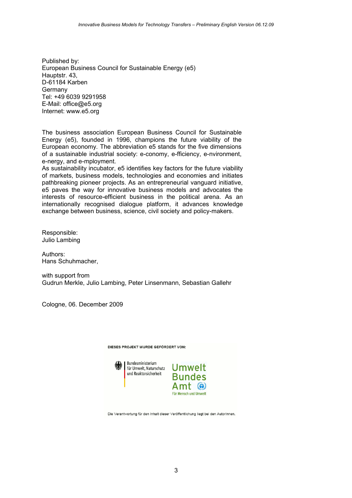Published by: European Business Council for Sustainable Energy (e5) Hauptstr. 43, D-61184 Karben Germany Tel: +49 6039 9291958 E-Mail: office@e5.org Internet: www.e5.org

The business association European Business Council for Sustainable Energy (e5), founded in 1996, champions the future viability of the European economy. The abbreviation e5 stands for the five dimensions of a sustainable industrial society: e-conomy, e-fficiency, e-nvironment, e-nergy, and e-mployment.

As sustainability incubator, e5 identifies key factors for the future viability of markets, business models, technologies and economies and initiates pathbreaking pioneer projects. As an entrepreneurial vanguard initiative, e5 paves the way for innovative business models and advocates the interests of resource-efficient business in the political arena. As an internationally recognised dialogue platform, it advances knowledge exchange between business, science, civil society and policy-makers.

Responsible: Julio Lambing

Authors: Hans Schuhmacher,

with support from Gudrun Merkle, Julio Lambing, Peter Linsenmann, Sebastian Gallehr

Cologne, 06. December 2009



Die Verantwortung für den Inhalt dieser Veröffentlichung liegt bei den AutorInnen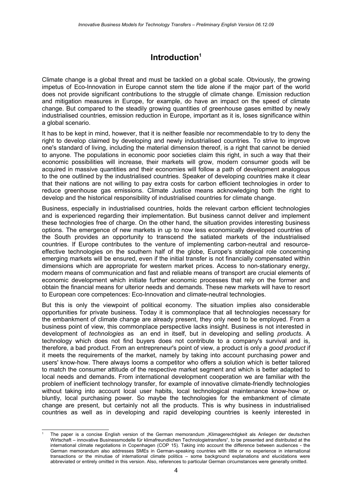# **Introduction[1](#page-3-0)**

Climate change is a global threat and must be tackled on a global scale. Obviously, the growing impetus of Eco-Innovation in Europe cannot stem the tide alone if the major part of the world does not provide significant contributions to the struggle of climate change. Emission reduction and mitigation measures in Europe, for example, do have an impact on the speed of climate change. But compared to the steadily growing quantities of greenhouse gases emitted by newly industrialised countries, emission reduction in Europe, important as it is, loses significance within a global scenario.

It has to be kept in mind, however, that it is neither feasible nor recommendable to try to deny the right to develop claimed by developing and newly industrialised countries. To strive to improve one's standard of living, including the material dimension thereof, is a right that cannot be denied to anyone. The populations in economic poor societies claim this right, in such a way that their economic possibilities will increase, their markets will grow, modern consumer goods will be acquired in massive quantities and their economies will follow a path of development analogous to the one outlined by the industrialised countries. Speaker of developing countries make it clear that their nations are not willing to pay extra costs for carbon efficient technologies in order to reduce greenhouse gas emissions. Climate Justice means acknowledging both the right to develop and the historical responsibility of industrialised countries for climate change.

Business, especially in industrialised countries, holds the relevant carbon efficient technologies and is experienced regarding their implementation. But business cannot deliver and implement these technologies free of charge. On the other hand, the situation provides interesting business options. The emergence of new markets in up to now less economically developed countries of the South provides an opportunity to transcend the satiated markets of the industrialised countries. If Europe contributes to the venture of implementing carbon-neutral and resourceeffective technologies on the southern half of the globe, Europe's strategical role concerning emerging markets will be ensured, even if the initial transfer is not financially compensated within dimensions which are appropriate for western market prices. Access to non-stationary energy, modern means of communication and fast and reliable means of transport are crucial elements of economic development which initiate further economic processes that rely on the former and obtain the financial means for ulterior needs and demands. These new markets will have to resort to European core competences: Eco-Innovation and climate-neutral technologies.

But this is only the viewpoint of political economy. The situation implies also considerable opportunities for private business. Today it is commonplace that all technologies necessary for the embankment of climate change are already present, they only need to be employed. From a business point of view, this commonplace perspective lacks insight. Business is not interested in development of *technologies* as an end in itself, but in developing and selling *products*. A technology which does not find buyers does not contribute to a company's survival and is, therefore, a bad product. From an entrepreneur's point of view, a product is only a *good product* if it meets the requirements of the market, namely by taking into account purchasing power and users' know-how. There always looms a competitor who offers a solution which is better tailored to match the consumer attitude of the respective market segment and which is better adapted to local needs and demands. From international development cooperation we are familiar with the problem of inefficient technology transfer, for example of innovative climate-friendly technologies without taking into account local user habits, local technological maintenance know-how or, bluntly, local purchasing power. So maybe the technologies for the embankment of climate change are present, but certainly not all the products. This is why business in industrialised countries as well as in developing and rapid developing countries is keenly interested in

<span id="page-3-0"></span>The paper is a concise English version of the German memorandum "Klimagerechtigkeit als Anliegen der deutschen Wirtschaft – innovative Businessmodelle für klimafreundlichen Technologietransfers", to be presented and distributed at the international climate negotiations in Copenhagen (COP 15). Taking into account the difference between audiences - the German memorandum also addresses SMEs in German-speaking countries with little or no experience in international transactions or the minutiae of international climate politics – some background explanations and elucidations were abbreviated or entirely omitted in this version. Also, references to particular German circumstances were generally omitted.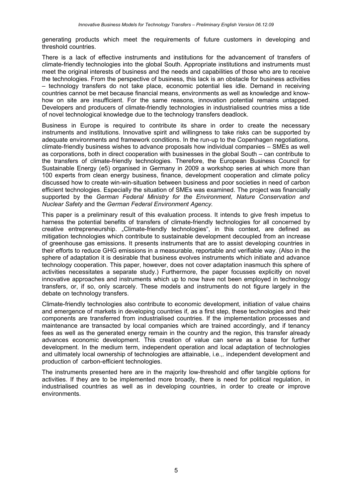generating products which meet the requirements of future customers in developing and threshold countries.

There is a lack of effective instruments and institutions for the advancement of transfers of climate-friendly technologies into the global South. Appropriate institutions and instruments must meet the original interests of business and the needs and capabilities of those who are to receive the technologies. From the perspective of business, this lack is an obstacle for business activities – technology transfers do not take place, economic potential lies idle. Demand in receiving countries cannot be met because financial means, environments as well as knowledge and knowhow on site are insufficient. For the same reasons, innovation potential remains untapped. Developers and producers of climate-friendly technologies in industrialised countries miss a tide of novel technological knowledge due to the technology transfers deadlock.

Business in Europe is required to contribute its share in order to create the necessary instruments and institutions. Innovative spirit and willingness to take risks can be supported by adequate environments and framework conditions. In the run-up to the Copenhagen negotiations, climate-friendly business wishes to advance proposals how individual companies – SMEs as well as corporations, both in direct cooperation with businesses in the global South – can contribute to the transfers of climate-friendly technologies. Therefore, the European Business Council for Sustainable Energy (e5) organised in Germany in 2009 a workshop series at which more than 100 experts from clean energy business, finance, development cooperation and climate policy discussed how to create win-win-situation between business and poor societies in need of carbon efficient technologies. Especially the situation of SMEs was examined. The project was financially supported by the *German Federal Ministry for the Environment, Nature Conservation and Nuclear Safety* and the *German Federal Environment Agency.*

This paper is a preliminary result of this evaluation process. It intends to give fresh impetus to harness the potential benefits of transfers of climate-friendly technologies for all concerned by creative entrepreneurship. "Climate-friendly technologies", in this context, are defined as mitigation technologies which contribute to sustainable development decoupled from an increase of greenhouse gas emissions. It presents instruments that are to assist developing countries in their efforts to reduce GHG emissions in a measurable, reportable and verifiable way. (Also in the sphere of adaptation it is desirable that business evolves instruments which initiate and advance technology cooperation. This paper, however, does not cover adaptation inasmuch this sphere of activities necessitates a separate study.) Furthermore, the paper focusses explicitly on novel innovative approaches and instruments which up to now have not been employed in technology transfers, or, if so, only scarcely. These models and instruments do not figure largely in the debate on technology transfers.

Climate-friendly technologies also contribute to economic development, initiation of value chains and emergence of markets in developing countries if, as a first step, these technologies and their components are transferred from industrialised countries. If the implementation processes and maintenance are transacted by local companies which are trained accordingly, and if tenancy fees as well as the generated energy remain in the country and the region, this transfer already advances economic development. This creation of value can serve as a base for further development. In the medium term, independent operation and local adaptation of technologies and ultimately local ownership of technologies are attainable, i.e.,. independent development and production of carbon-efficient technologies.

The instruments presented here are in the majority low-threshold and offer tangible options for activities. If they are to be implemented more broadly, there is need for political regulation, in industrialised countries as well as in developing countries, in order to create or improve environments.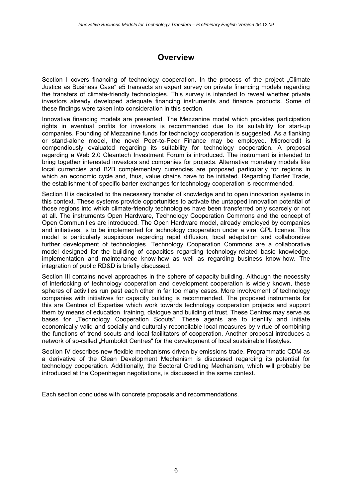# **Overview**

Section I covers financing of technology cooperation. In the process of the project "Climate Justice as Business Case" e5 transacts an expert survey on private financing models regarding the transfers of climate-friendly technologies. This survey is intended to reveal whether private investors already developed adequate financing instruments and finance products. Some of these findings were taken into consideration in this section.

Innovative financing models are presented. The Mezzanine model which provides participation rights in eventual profits for investors is recommended due to its suitability for start-up companies. Founding of Mezzanine funds for technology cooperation is suggested. As a flanking or stand-alone model, the novel Peer-to-Peer Finance may be employed. Microcredit is compendiously evaluated regarding its suitability for technology cooperation. A proposal regarding a Web 2.0 Cleantech Investment Forum is introduced. The instrument is intended to bring together interested investors and companies for projects. Alternative monetary models like local currencies and B2B complementary currencies are proposed particularly for regions in which an economic cycle and, thus, value chains have to be initiated. Regarding Barter Trade, the establishment of specific barter exchanges for technology cooperation is recommended.

Section II is dedicated to the necessary transfer of knowledge and to open innovation systems in this context. These systems provide opportunities to activate the untapped innovation potential of those regions into which climate-friendly technologies have been transferred only scarcely or not at all. The instruments Open Hardware, Technology Cooperation Commons and the concept of Open Communities are introduced. The Open Hardware model, already employed by companies and initiatives, is to be implemented for technology cooperation under a viral GPL license. This model is particularly auspicious regarding rapid diffusion, local adaptation and collaborative further development of technologies. Technology Cooperation Commons are a collaborative model designed for the building of capacities regarding technology-related basic knowledge, implementation and maintenance know-how as well as regarding business know-how. The integration of public RD&D is briefly discussed.

Section III contains novel approaches in the sphere of capacity building. Although the necessity of interlocking of technology cooperation and development cooperation is widely known, these spheres of activities run past each other in far too many cases. More involvement of technology companies with initiatives for capacity building is recommended. The proposed instruments for this are Centres of Expertise which work towards technology cooperation projects and support them by means of education, training, dialogue and building of trust. These Centres may serve as bases for "Technology Cooperation Scouts". These agents are to identify and initiate economically valid and socially and culturally reconcilable local measures by virtue of combining the functions of trend scouts and local facilitators of cooperation. Another proposal introduces a network of so-called "Humboldt Centres" for the development of local sustainable lifestyles.

Section IV describes new flexible mechanisms driven by emissions trade. Programmatic CDM as a derivative of the Clean Development Mechanism is discussed regarding its potential for technology cooperation. Additionally, the Sectoral Crediting Mechanism, which will probably be introduced at the Copenhagen negotiations, is discussed in the same context.

Each section concludes with concrete proposals and recommendations.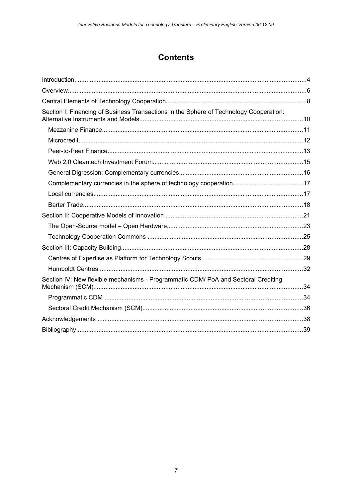# **Contents**

| Section I: Financing of Business Transactions in the Sphere of Technology Cooperation: |  |
|----------------------------------------------------------------------------------------|--|
|                                                                                        |  |
|                                                                                        |  |
|                                                                                        |  |
|                                                                                        |  |
|                                                                                        |  |
|                                                                                        |  |
|                                                                                        |  |
|                                                                                        |  |
|                                                                                        |  |
|                                                                                        |  |
|                                                                                        |  |
|                                                                                        |  |
|                                                                                        |  |
|                                                                                        |  |
| Section IV: New flexible mechanisms - Programmatic CDM/ PoA and Sectoral Crediting     |  |
|                                                                                        |  |
|                                                                                        |  |
|                                                                                        |  |
|                                                                                        |  |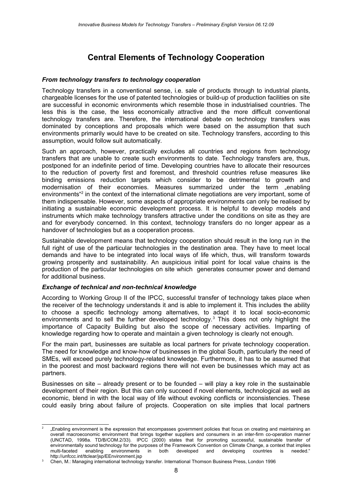# **Central Elements of Technology Cooperation**

### *From technology transfers to technology cooperation*

Technology transfers in a conventional sense, i.e. sale of products through to industrial plants, chargeable licenses for the use of patented technologies or build-up of production facilities on site are successful in economic environments which resemble those in industrialised countries. The less this is the case, the less economically attractive and the more difficult conventional technology transfers are. Therefore, the international debate on technology transfers was dominated by conceptions and proposals which were based on the assumption that such environments primarily would have to be created on site. Technology transfers, according to this assumption, would follow suit automatically.

Such an approach, however, practically excludes all countries and regions from technology transfers that are unable to create such environments to date. Technology transfers are, thus, postponed for an indefinite period of time. Developing countries have to allocate their resources to the reduction of poverty first and foremost, and threshold countries refuse measures like binding emissions reduction targets which consider to be detrimental to growth and modernisation of their economies. Measures summarized under the term "enabling environments<sup>4[2](#page-7-0)</sup> in the context of the international climate negotiations are very important, some of them indispensable. However, some aspects of appropriate environments can only be realised by initiating a sustainable economic development process. It is helpful to develop models and instruments which make technology transfers attractive under the conditions on site as they are and for everybody concerned. In this context, technology transfers do no longer appear as a handover of technologies but as a cooperation process.

Sustainable development means that technology cooperation should result in the long run in the full right of use of the particular technologies in the destination area. They have to meet local demands and have to be integrated into local ways of life which, thus, will transform towards growing prosperity and sustainability. An auspicious initial point for local value chains is the production of the particular technologies on site which generates consumer power and demand for additional business.

### *Exchange of technical and non-technical knowledge*

According to Working Group II of the IPCC, successful transfer of technology takes place when the receiver of the technology understands it and is able to implement it. This includes the ability to choose a specific technology among alternatives, to adapt it to local socio-economic environments and to sell the further developed technology.<sup>[3](#page-7-1)</sup> This does not only highlight the importance of Capacity Building but also the scope of necessary activities. Imparting of knowledge regarding how to operate and maintain a given technology is clearly not enough.

For the main part, businesses are suitable as local partners for private technology cooperation. The need for knowledge and know-how of businesses in the global South, particularly the need of SMEs, will exceed purely technology-related knowledge. Furthermore, it has to be assumed that in the poorest and most backward regions there will not even be businesses which may act as partners.

Businesses on site – already present or to be founded – will play a key role in the sustainable development of their region. But this can only succeed if novel elements, technological as well as economic, blend in with the local way of life without evoking conflicts or inconsistencies. These could easily bring about failure of projects. Cooperation on site implies that local partners

<span id="page-7-0"></span><sup>2</sup> "Enabling environment is the expression that encompasses government policies that focus on creating and maintaining an overall macroeconomic environment that brings together suppliers and consumers in an inter-firm co-operation manner (UNCTAD, 1998a. TD/B/COM.2/33). IPCC (2000) states that for promoting successful, sustainable transfer of environmentally sound technology for the purposes of the Framework Convention on Climate Change, a context that implies multi-faceted enabling environments in both developed and developing countries is needed." http://unfccc.int/ttclear/jsp/EEnvironment.jsp

<span id="page-7-1"></span><sup>3</sup> Chen, M.: Managing international technology transfer. International Thomson Business Press, London 1996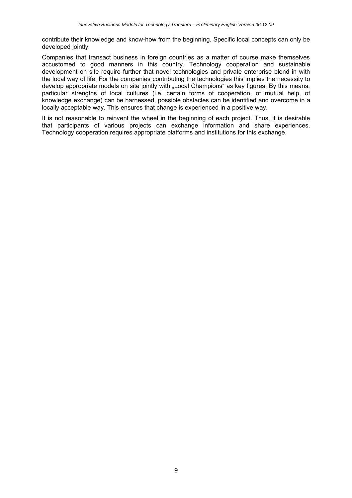contribute their knowledge and know-how from the beginning. Specific local concepts can only be developed jointly.

Companies that transact business in foreign countries as a matter of course make themselves accustomed to good manners in this country. Technology cooperation and sustainable development on site require further that novel technologies and private enterprise blend in with the local way of life. For the companies contributing the technologies this implies the necessity to develop appropriate models on site jointly with "Local Champions" as key figures. By this means, particular strengths of local cultures (i.e. certain forms of cooperation, of mutual help, of knowledge exchange) can be harnessed, possible obstacles can be identified and overcome in a locally acceptable way. This ensures that change is experienced in a positive way.

It is not reasonable to reinvent the wheel in the beginning of each project. Thus, it is desirable that participants of various projects can exchange information and share experiences. Technology cooperation requires appropriate platforms and institutions for this exchange.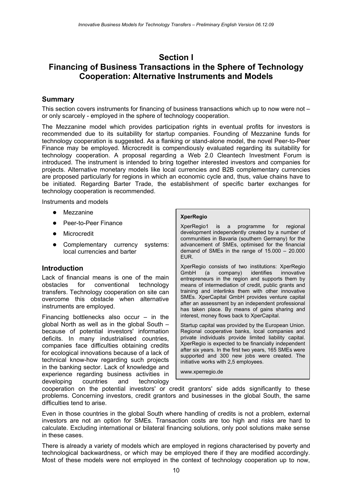# **Section I Financing of Business Transactions in the Sphere of Technology Cooperation: Alternative Instruments and Models**

# **Summary**

This section covers instruments for financing of business transactions which up to now were not – or only scarcely - employed in the sphere of technology cooperation.

The Mezzanine model which provides participation rights in eventual profits for investors is recommended due to its suitability for startup companies. Founding of Mezzanine funds for technology cooperation is suggested. As a flanking or stand-alone model, the novel Peer-to-Peer Finance may be employed. Microcredit is compendiously evaluated regarding its suitability for technology cooperation. A proposal regarding a Web 2.0 Cleantech Investment Forum is introduced. The instrument is intended to bring together interested investors and companies for projects. Alternative monetary models like local currencies and B2B complementary currencies are proposed particularly for regions in which an economic cycle and, thus, value chains have to be initiated. Regarding Barter Trade, the establishment of specific barter exchanges for technology cooperation is recommended.

Instruments and models

- Mezzanine
- Peer-to-Peer Finance
- **•** Microcredit
- Complementary currency systems: local currencies and barter

# **Introduction**

Lack of financial means is one of the main obstacles for conventional technology transfers. Technology cooperation on site can overcome this obstacle when alternative instruments are employed.

Financing bottlenecks also occur  $-$  in the global North as well as in the global South – because of potential investors' information deficits. In many industrialised countries, companies face difficulties obtaining credits for ecological innovations because of a lack of technical know-how regarding such projects in the banking sector. Lack of knowledge and experience regarding business activities in developing countries and technology

#### **XperRegio**

XperRegio1 is a programme for regional development independently created by a number of communities in Bavaria (southern Germany) for the advancement of SMEs, optimised for the financial demand of SMEs in the range of 15.000 – 20.000 EUR.

XperRegio consists of two institutions: XperRegio GmbH (a company) identifies innovative entrepreneurs in the region and supports them by means of intermediation of credit, public grants and training and interlinks them with other innovative SMEs. XperCapital GmbH provides venture capital after an assessment by an independent professional has taken place. By means of gains sharing and interest, money flows back to XperCapital.

Startup capital was provided by the European Union. Regional cooperative banks, local companies and private individuals provide limited liability capital. XperRegio is expected to be financially independent after six years. In the first two years, 165 SMEs were supported and 300 new jobs were created. The initiative works with 2,5 employees.

[www.xperregio.de](http://www.bancopalmas.org/)

cooperation on the potential investors' or credit grantors' side adds significantly to these problems. Concerning investors, credit grantors and businesses in the global South, the same difficulties tend to arise.

Even in those countries in the global South where handling of credits is not a problem, external investors are not an option for SMEs. Transaction costs are too high and risks are hard to calculate. Excluding international or bilateral financing solutions, only pool solutions make sense in these cases.

There is already a variety of models which are employed in regions characterised by poverty and technological backwardness, or which may be employed there if they are modified accordingly. Most of these models were not employed in the context of technology cooperation up to now,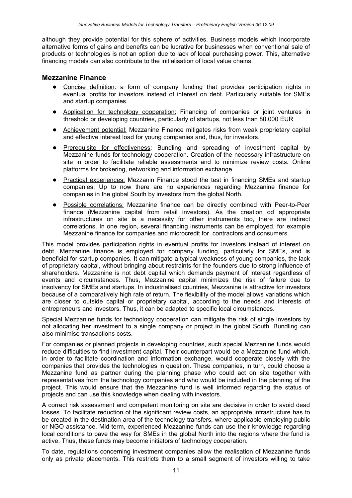although they provide potential for this sphere of activities. Business models which incorporate alternative forms of gains and benefits can be lucrative for businesses when conventional sale of products or technologies is not an option due to lack of local purchasing power. This, alternative financing models can also contribute to the initialisation of local value chains.

# **Mezzanine Finance**

- Concise definition: a form of company funding that provides participation rights in eventual profits for investors instead of interest on debt. Particularly suitable for SMEs and startup companies.
- Application for technology cooperation: Financing of companies or joint ventures in threshold or developing countries, particularly of startups, not less than 80.000 EUR
- Achievement potential: Mezzanine Finance mitigates risks from weak proprietary capital and effective interest load for young companies and, thus, for investors.
- Prerequisite for effectiveness: Bundling and spreading of investment capital by Mezzanine funds for technology cooperation. Creation of the necessary infrastructure on site in order to facilitate reliable assessments and to minimize review costs. Online platforms for brokering, networking and information exchange
- Practical experiences: Mezzanin Finance stood the test in financing SMEs and startup companies. Up to now there are no experiences regarding Mezzanine finance for companies in the global South by investors from the global North.
- Possible correlations: Mezzanine finance can be directly combined with Peer-to-Peer finance (Mezzanine capital from retail investors). As the creation od appropriate infrastructures on site is a necessity for other instruments too, there are indirect correlations. In one region, several financing instruments can be employed, for example Mezzanine finance for companies and microcredit for contractors and consumers.

This model provides participation rights in eventual profits for investors instead of interest on debt. Mezzanine finance is employed for company funding, particularly for SMEs, and is beneficial for startup companies. It can mitigate a typical weakness of young companies, the lack of proprietary capital, without bringing about restraints for the founders due to strong influence of shareholders. Mezzanine is not debt capital which demands payment of interest regardless of events and circumstances. Thus, Mezzanine capital minimizes the risk of failure due to insolvency for SMEs and startups. In industrialised countries, Mezzanine is attractive for investors because of a comparatively high rate of return. The flexibility of the model allows variations which are closer to outside capital or proprietary capital, according to the needs and interests of entrepreneurs and investors. Thus, it can be adapted to specific local circumstances.

Special Mezzanine funds for technology cooperation can mitigate the risk of single investors by not allocating her investment to a single company or project in the global South. Bundling can also minimise transactions costs.

For companies or planned projects in developing countries, such special Mezzanine funds would reduce difficulties to find investment capital. Their counterpart would be a Mezzanine fund which, in order to facilitate coordination and information exchange, would cooperate closely with the companies that provides the technologies in question. These companies, in turn, could choose a Mezzanine fund as partner during the planning phase who could act on site together with representatives from the technology companies and who would be included in the planning of the project. This would ensure that the Mezzanine fund is well informed regarding the status of projects and can use this knowledge when dealing with investors.

A correct risk assessment and competent monitoring on site are decisive in order to avoid dead losses. To facilitate reduction of the significant review costs, an appropriate infrastructure has to be created in the destination area of the technology transfers, where applicable employing public or NGO assistance. Mid-term, experienced Mezzanine funds can use their knowledge regarding local conditions to pave the way for SMEs in the global North into the regions where the fund is active. Thus, these funds may become initiators of technology cooperation.

To date, regulations concerning investment companies allow the realisation of Mezzanine funds only as private placements. This restricts them to a small segment of investors willing to take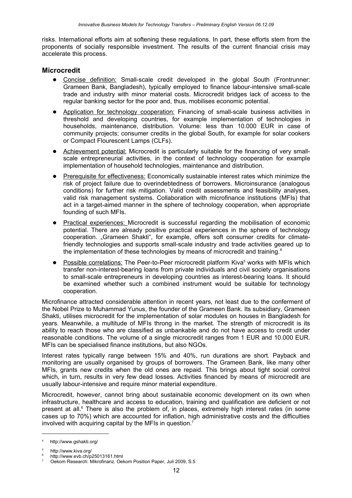risks. International efforts aim at softening these regulations. In part, these efforts stem from the proponents of socially responsible investment. The results of the current financial crisis may accelerate this process.

# **Microcredit**

- Concise definition: Small-scale credit developed in the global South (Frontrunner: Grameen Bank, Bangladesh), typically employed to finance labour-intensive small-scale trade and industry with minor material costs. Microcredit bridges lack of access to the regular banking sector for the poor and, thus, mobilises economic potential.
- Application for technology cooperation: Financing of small-scale business activities in threshold and developing countries, for example implementation of technologies in households, maintenance, distribution. Volume: less than 10.000 EUR in case of community projects; consumer credits in the global South, for example for solar cookers or Compact Flourescent Lamps (CLFs).
- Achievement potential: Microcredit is particularly suitable for the financing of very smallscale entrepreneurial activities, in the context of technology cooperation for example implementation of household technologies, maintenance and distribution.
- Prerequisite for effectiveness: Economically sustainable interest rates which minimize the risk of project failure due to overindebtedness of borrowers. Microinsurance (analogous conditions) for further risk mitigation. Valid credit assessments and feasibility analyses, valid risk management systems. Collaboration with microfinance institutions (MFIs) that act in a target-aimed manner in the sphere of technology cooperation, when appropriate founding of such MFIs.
- Practical experiences: Microcredit is successful regarding the mobilisation of economic potential. There are already positive practical experiences in the sphere of technology cooperation. "Grameen Shakti", for example, offers soft consumer credits for climatefriendly technologies and supports small-scale industry and trade activities geared up to the implementation of these technologies by means of microcredit and training.<sup>[4](#page-11-0)</sup>
- Possible correlations: The Peer-to-Peer microcredit platform Kiva<sup>[5](#page-11-1)</sup> works with MFIs which transfer non-interest-bearing loans from private individuals and civil society organisations to small-scale entrepreneurs in developing countries as interest-bearing loans. It should be examined whether such a combined instrument would be suitable for technology cooperation.

Microfinance attracted considerable attention in recent years, not least due to the conferment of the Nobel Prize to Muhammad Yunus, the founder of the Grameen Bank. Its subsidiary, Grameen Shakti, utilises microcredit for the implementation of solar modules on houses in Bangladesh for years. Meanwhile, a multitude of MFIs throng in the market. The strength of microcredit is its ability to reach those who are classified as unbankable and do not have access to credit under reasonable conditions. The volume of a single microcredit ranges from 1 EUR and 10.000 EUR. MFIs can be specialised finance institutions, but also NGOs.

Interest rates typically range between 15% and 40%, run durations are short. Payback and monitoring are usually organised by groups of borrowers. The Grameen Bank, like many other MFIs, grants new credits when the old ones are repaid. This brings about tight social control which, in turn, results in very few dead losses. Activities financed by means of microcredit are usually labour-intensive and require minor material expenditure.

Microcredit, however, cannot bring about sustainable economic development on its own when infrastructure, healthcare and access to education, training and qualification are deficient or not present at all.<sup>[6](#page-11-2)</sup> There is also the problem of, in places, extremely high interest rates (in some cases up to 70%) which are accounted for inflation, high administrative costs and the difficulties involved with acquiring capital by the MFIs in question.[7](#page-11-3)

<span id="page-11-0"></span><sup>4</sup> http://www.gshakti.org/

<span id="page-11-1"></span><sup>5</sup> http://www.kiva.org/

<span id="page-11-2"></span><sup>6</sup> http://www.evb.ch/p25013161.html

<span id="page-11-3"></span><sup>7</sup> Oekom Research: Mikrofinanz. Oekom Position Paper, Juli 2009, S.5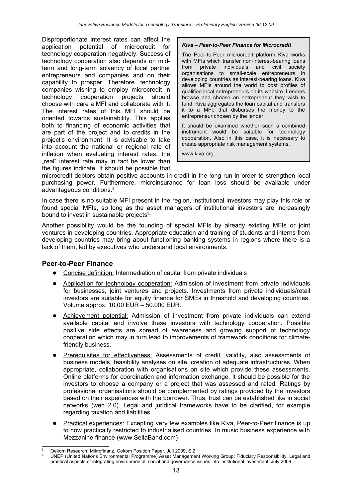Disproportionate interest rates can affect the application potential of microcredit for technology cooperation negatively. Success of technology cooperation also depends on midterm and long-term solvency of local partner entrepreneurs and companies and on their capability to prosper. Therefore. technology companies wishing to employ microcredit in technology cooperation projects should choose with care a MFI and collaborate with it. The interest rates of this MFI should be oriented towards sustainability. This applies both to financing of economic activities that are part of the project and to credits in the project's environment. It is advisable to take into account the national or regional rate of inflation when evaluating interest rates, the .real" interest rate may in fact be lower than the figures indicate. It should be possible that

### *Kiva – Peer-to-Peer Finance for Microcredit*

The Peer-to-Peer microcredit platform Kiva works with MFIs which transfer non-interest-bearing loans from private individuals and civil society organisations to small-scale entrepreneurs in developing countries as interest-bearing loans. Kiva allows MFIs around the world to post profiles of qualified local entrepreneurs on its website. Lenders browse and choose an entrepreneur they wish to fund. Kiva aggregates the loan capital and transfers it to a MFI, that disburses the money to the entrepreneur chosen by the lender.

It should be examined whether such a combined instrument would be suitable for technology cooperation. Also in this case, it is necessary to create appropriate risk management systems.

[www.kiva.org](http://www.kiva.org/)

microcredit debtors obtain positive accounts in credit in the long run in order to strengthen local purchasing power. Furthermore, microinsurance for loan loss should be available under advantageous conditions.<sup>[8](#page-12-0)</sup>

In case there is no suitable MFI present in the region, institutional investors may play this role or found special MFIs, so long as the asset managers of institutional investors are increasingly bound to invest in sustainable projects<sup>[9.](#page-12-1).</sup>

Another possibility would be the founding of special MFIs by already existing MFIs or joint ventures in developing countries. Appropriate education and training of students and interns from developing countries may bring about functioning banking systems in regions where there is a lack of them, led by executives who understand local environments.

# **Peer-to-Peer Finance**

- Concise definition: Intermediation of capital from private individuals
- Application for technology cooperation: Admission of investment from private individuals for businesses, joint ventures and projects. Investments from private individuals/retail investors are suitable for equity finance for SMEs in threshold and developing countries. Volume approx. 10.00 EUR – 50.000 EUR.
- Achievement potential: Admission of investment from private individuals can extend available capital and involve these investors with technology cooperation. Possible positive side effects are spread of awareness and growing support of technology cooperation which may in turn lead to improvements of framework conditions for climatefriendly business.
- Prerequisites for effectiveness: Assessments of credit, validity, also assessments of business models, feasibility analyses on site, creation of adequate infrastructures. When appropriate, collaboration with organisations on site which provide these assessments. Online platforms for coordination and information exchange. It should be possible for the investors to choose a company or a project that was assessed and rated. Ratings by professional organisations should be complemented by ratings provided by the investors based on their experiences with the borrower. Thus, trust can be established like in social networks (web 2.0). Legal and juridical frameworks have to be clarified, for example regarding taxation and liabilities.
- Practical experiences: Excepting very few examples like Kiva, Peer-to-Peer finance is up to now practically restricted to industrialised countries. In music business experience with Mezzanine finance (www.SellaBand.com)

<span id="page-12-0"></span>Oekom Research: Mikrofinanz. Oekom Position Paper, Juli 2009, S.2

<span id="page-12-1"></span><sup>9</sup> UNEP (United Nations Environmental Programme) Asset Management Working Group: Fiduciary Responsibility. Legal and practical aspects of integrating environmental, social and governance issues into institutional investment. July 2009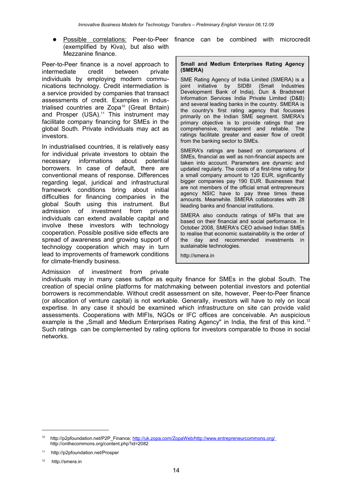(exemplified by Kiva), but also with Mezzanine finance.

Peer-to-Peer finance is a novel approach to intermediate credit between private individuals by employing modern communications technology. Credit intermediation is a service provided by companies that transact assessments of credit. Examples in indus-trialised countries are Zopa<sup>[10](#page-13-0)</sup> (Great Britain) and Prosper (USA).<sup>[11](#page-13-1)</sup> This instrument may facilitate company financing for SMEs in the global South. Private individuals may act as investors.

In industrialised countries, it is relatively easy for individual private investors to obtain the necessary informations about potential borrowers. In case of default, there are conventional means of response. Differences regarding legal, juridical and infrastructural framework conditions bring about initial difficulties for financing companies in the global South using this instrument. But admission of investment from private individuals can extend available capital and involve these investors with technology cooperation. Possible positive side effects are spread of awareness and growing support of technology cooperation which may in turn lead to improvements of framework conditions for climate-friendly business.

Admission of investment from private

Possible correlations: Peer-to-Peer finance can be combined with microcredit

#### **Small and Medium Enterprises Rating Agency (SMERA)**

SME Rating Agency of India Limited (SMERA) is a joint initiative by SIDBI (Small Industries Development Bank of India), Dun & Bradstreet Information Services India Private Limited (D&B) and several leading banks in the country. SMERA is the country's first rating agency that focusses primarily on the Indian SME segment. SMERA's primary objective is to provide ratings that are comprehensive, transparent and reliable. The ratings facilitate greater and easier flow of credit from the banking sector to SMEs.

SMERA's ratings are based on comparisons of SMEs, financial as well as non-financial aspects are taken into account. Parameters are dynamic and updated regularly. The costs of a first-time rating for a small company amount to 120 EUR, significantly bigger companies pay 190 EUR. Businesses that are not members of the official small entrepreneurs agency NSIC have to pay three times these amounts. Meanwhile. SMERA collaborates with 28 lieading banks and financial institutions.

SMERA also conducts ratings of MFIs that are based on their financial and social performance. In October 2008, SMERA's CEO advised Indian SMEs to realise that economic sustainability is the order of the day and recommended investments in sustainable technologies.

[http://smera.in](http://smera.in/)

individuals may in many cases suffice as equity finance for SMEs in the global South. The creation of special online platforms for matchmaking between potential investors and potential borrowers is recommendable. Without credit assessment on site, however, Peer-to-Peer finance (or allocation of venture capital) is not workable. Generally, investors will have to rely on local expertise. In any case it should be examined which infrastructure on site can provide valid assessments. Cooperations with MIFIs, NGOs or IFC offices are conceivable. An auspicious example is the  $\alpha$ Small and Medium Enterprises Rating Agency" in India, the first of this kind.<sup>[12](#page-13-2)</sup> Such ratings can be complemented by rating options for investors comparable to those in social networks.

<span id="page-13-0"></span><sup>10</sup> [http://p2pfoundation.net/P2P\\_Finance;](http://p2pfoundation.net/P2P_Finance)<http://uk.zopa.com/ZopaWeb/><http://www.entrepreneurcommons.org/> <http://onthecommons.org/content.php?id=2082>

<span id="page-13-1"></span><sup>11</sup> http://p2pfoundation.net/Prosper

<span id="page-13-2"></span><sup>12</sup> [http://smera.in](http://smera.in/)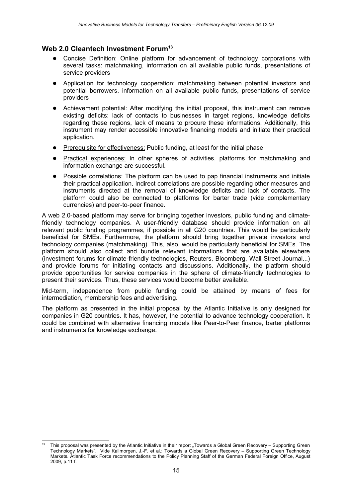# **Web 2.0 Cleantech Investment Forum[13](#page-14-0)**

- Concise Definition: Online platform for advancement of technology corporations with several tasks: matchmaking, information on all available public funds, presentations of service providers
- Application for technology cooperation: matchmaking between potential investors and potential borrowers, information on all available public funds, presentations of service providers
- Achievement potential: After modifying the initial proposal, this instrument can remove existing deficits: lack of contacts to businesses in target regions, knowledge deficits regarding these regions, lack of means to procure these informations. Additionally, this instrument may render accessible innovative financing models and initiate their practical application.
- Prerequisite for effectiveness: Public funding, at least for the initial phase
- Practical experiences: In other spheres of activities, platforms for matchmaking and information exchange are successful.
- Possible correlations: The platform can be used to pap financial instruments and initiate their practical application. Indirect correlations are possible regarding other measures and instruments directed at the removal of knowledge deficits and lack of contacts. The platform could also be connected to platforms for barter trade (vide complementary currencies) and peer-to-peer finance.

A web 2.0-based platform may serve for bringing together investors, public funding and climatefriendly technology companies. A user-friendly database should provide information on all relevant public funding programmes, if possible in all G20 countries. This would be particularly beneficial for SMEs. Furthermore, the platform should bring together private investors and technology companies (matchmaking). This, also, would be particularly beneficial for SMEs. The platform should also collect and bundle relevant informations that are available elsewhere (investment forums for climate-friendly technologies, Reuters, Bloomberg, Wall Street Journal...) and provide forums for initiating contacts and discussions. Additionally, the platform should provide opportunities for service companies in the sphere of climate-friendly technologies to present their services. Thus, these services would become better available.

Mid-term, independence from public funding could be attained by means of fees for intermediation, membership fees and advertising.

The platform as presented in the initial proposal by the Atlantic Initiative is only designed for companies in G20 countries. It has, however, the potential to advance technology cooperation. It could be combined with alternative financing models like Peer-to-Peer finance, barter platforms and instruments for knowledge exchange.

<span id="page-14-0"></span>This proposal was presented by the Atlantic Initiative in their report "Towards a Global Green Recovery – Supporting Green Technology Markets". Vide Kallmorgen, J.-F. et al.: Towards a Global Green Recovery – Supporting Green Technology Markets. Atlantic Task Force recommendations to the Policy Planning Staff of the German Federal Foreign Office, August 2009, p.11 f.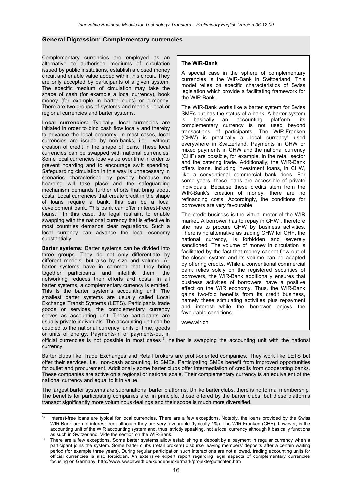#### **General Digression: Complementary currencies**

Complementary currencies are employed as an alternative to authorised mediums of circulation issued by public institutions, establish a closed money circuit and enable value added within this circuit. They are only accepted by participants of a given system. The specific medium of circulation may take the shape of cash (for example a local currency), book money (for example in barter clubs) or e-money. There are two groups of systems and models: local or regional currencies and barter systems.

**Local currencies:** Typically, local currencies are initiated in order to bind cash flow locally and thereby to advance the local economy. In most cases, local currencies are issued by non-banks, i.e. without creation of credit in the shape of loans. These local currencies can be swapped with national currencies. Some local currencies lose value over time in order to prevent hoarding and to encourage swift spending. Safeguarding circulation in this way is unnecessary in scenarios characterised by poverty because no hoarding will take place and the safeguarding mechanism demands further efforts that bring about costs. Local currencies that create credit in the shape of loans require a bank, this can be a local development bank. This bank can offer (interest-free) loans.<sup>[14](#page-15-0)</sup> In this case, the legal restraint to enable swapping with the national currency that is effective in most countries demands clear regulations. Such a local currency can advance the local economy substantially.

**Barter systems:** Barter systems can be divided into three groups. They do not only differentiate by different models, but also by size and volume. All barter systems have in common that they bring together participants and interlink them, the networking reduces their efforts and costs. In all barter systems, a complementary currency is emitted. This is the barter system's accounting unit. The smallest barter systems are usually called Local Exchange Transit Systems (LETS). Participants trade goods or services, the complementary currency serves as accounting unit. These participants are usually private individuals. The accounting unit can be coupled to the national currency, units of time, goods or units of energy. Payments-in or payments-out in

#### **The WIR-Bank**

A special case in the sphere of complementary currencies is the WIR-Bank in Switzerland. This model relies on specific characteristics of Swiss legislation which provide a facilitating framework for the WIR-Bank.

The WIR-Bank works like a barter system for Swiss SMEs but has the status of a bank. A barter system is basically an accounting platform, its complementary currency is not used beyond transactions of participants. The WIR-Franken (CHW) is practically a "local currency" used everywhere in Switzerland. Payments in CHW or mixed payments in CHW and the national currency (CHF) are possible, for example, in the retail sector and the catering trade. Additionally, the WIR-Bank offers loans, including investment loans, in CHW, like a conventional commercial bank does. For some years, these loans are accessible of private individuals. Because these credits stem from the WIR-Bank's creation of money, there are no refinancing costs. Accordingly, the conditions for borrowers are very favourable.

The credit business is the virtual motor of the WIR market. A borrower has to repay in CHW , therefore she has to procure CHW by business activities. There is no alternative as trading CHW for CHF, the national currency, is forbidden and severely sanctioned. The volume of money in circulation is facilitated by the fact that money cannot flow out of the closed system and its volume can be adapted by offering credits. While a conventional commercial bank relies solely on the registered securities of borrowers, the WIR-Bank additionally ensures that business activities of borrowers have a positive effect on the WIR economy. Thus, the WIR-Bank gains two-fold benefits from its credit business, namely these stimulating activities plus repayment and interest while the borrower enjoys the favourable conditions.

[www.wir.ch](http://www.wir.ch/)

official currencies is not possible in most cases<sup>[15](#page-15-1)</sup>, neither is swapping the accounting unit with the national currency.

Barter clubs like Trade Exchanges and Retail brokers are profit-oriented companies. They work like LETS but offer their services, i.e. non-cash accounting, to SMEs. Participating SMEs benefit from improved opportunities for outlet and procurement. Additionally some barter clubs offer intermediation of credits from cooperating banks. These companies are active on a regional or national scale. Their complementary currency is an equivalent of the national currency and equal to it in value.

The largest barter systems are supranational barter platforms. Unlike barter clubs, there is no formal membership. The benefits for participating companies are, in principle, those offered by the barter clubs, but these platforms transact significantly more voluminous dealings and their scope is much more diversified.

<span id="page-15-0"></span>Interest-free loans are typical for local currencies. There are a few exceptions. Notably, the loans provided by the Swiss WIR-Bank are not interest-free, although they are very favourable (typically 1%). The WIR-Franken (CHF), however, is the accounting unit of the WIR accounting system and, thus, strictly speaking, not a local currency although it basically functions as such in Switzerland. Vide the section on the WIR-Bank.

<span id="page-15-1"></span><sup>15</sup> There are a few exceptions. Some barter systems allow establishing a deposit by a payment in regular currency when a participant joins the system. Some barter clubs (retail brokers) disburse leaving members' deposits after a certain waiting period (for example three years). During regular participation such interactions are not allowed, trading accounting units for official currencies is also forbidden. An extensive expert report regarding legal aspects of complementary currencies focusing on Germany: <http://www.swschwedt.de/kunden/uckermark/projekte/gutachten.htm>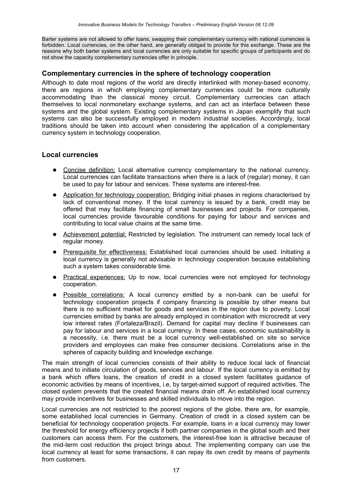Barter systems are not allowed to offer loans, swapping their complementary currency with national currencies is forbidden. Local currencies, on the other hand, are generally obliged to provide for this exchange. These are the reasons why both barter systems and local currencies are only suitable for specific groups of participants and do not show the capacity complementary currencies offer in principle.

### **Complementary currencies in the sphere of technology cooperation**

Although to date most regions of the world are directly interlinked with money-based economy, there are regions in which employing complementary currencies could be more culturally accommodating than the classical money circuit. Complementary currencies can attach themselves to local nonmonetary exchange systems, and can act as interface between these systems and the global system. Existing complementary systems in Japan exemplify that such systems can also be successfully employed in modern industrial societies. Accordingly, local traditions should be taken into account when considering the application of a complementary currency system in technology cooperation.

# **Local currencies**

- Concise definition: Local alternative currency complementary to the national currency. Local currencies can facilitate transactions when there is a lack of (regular) money, it can be used to pay for labour and services. These systems are interest-free.
- Application for technology cooperation: Bridging initial phases in regions characterised by lack of conventional money. If the local currency is issued by a bank, credit may be offered that may facilitate financing of small businesses and projects. For companies, local currencies provide favourable conditions for paying for labour and services and contributing to local value chains at the same time.
- Achievement potential: Restricted by legislation. The instrument can remedy local lack of regular money.
- Prerequisite for effectiveness: Established local currencies should be used. Initiating a local currency is generally not advisable in technology cooperation because establishing such a system takes considerable time.
- Practical experiences: Up to now, local currencies were not employed for technology cooperation.
- Possible correlations: A local currency emitted by a non-bank can be useful for technology cooperation projects if company financing is possible by other means but there is no sufficient market for goods and services in the region due to poverty. Local currencies emitted by banks are already employed in combination with microcredit at very low interest rates (Fortaleza/Brazil). Demand for capital may decline if businesses can pay for labour and services in a local currency. In these cases, economic sustainability is a necessity, i.e. there must be a local currency well-established on site so service providers and employees can make free consumer decisions. Correlations arise in the spheres of capacity building and knowledge exchange.

The main strength of local currencies consists of their ability to reduce local lack of financial means and to initiate circulation of goods, services and labour. If the local currency is emitted by a bank which offers loans, the creation of credit in a closed system facilitates guidance of economic activities by means of incentives, i.e, by target-aimed support of required activities. The closed system prevents that the created financial means drain off. An established local currency may provide incentives for businesses and skilled individuals to move into the region.

Local currencies are not restricted to the poorest regions of the globe, there are, for example, some established local currencies in Germany. Creation of credit in a closed system can be beneficial for technology cooperation projects. For example, loans in a local currency may lower the threshold for energy efficiency projects if both partner companies in the global south and their customers can access them. For the customers, the interest-free loan is attractive because of the mid-term cost reduction the project brings about. The implementing company can use the local currency at least for some transactions, it can repay its own credit by means of payments from customers.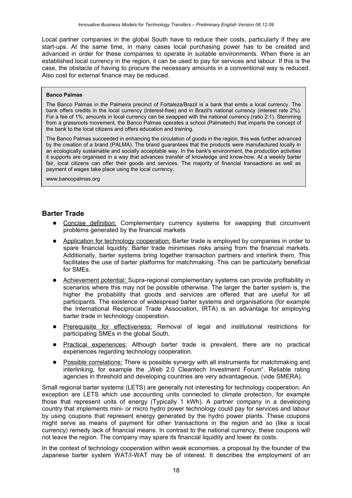Local partner companies in the global South have to reduce their costs, particularly if they are start-ups. At the same time, in many cases local purchasing power has to be created and advanced in order for these companies to operate in suitable environments. When there is an established local currency in the region, it can be used to pay for services and labour. If this is the case, the obstacle of having to procure the necessary amounts in a conventional way is reduced. Also cost for external finance may be reduced.

#### **Banco Palmas**

The Banco Palmas in the Palmeira precinct of Fortaleza/Brazil is a bank that emits a local currency. The bank offers credits in the local currency (interest-free) and in Brazil's national currency (interest rate 2%). For a fee of 1%, amounts in local currency can be swapped with the national currency (ratio 2:1). Stemming from a grassroots movement, the Banco Palmas operates a school (Palmatech) that imparts the concept of the bank to the local citizens and offers education and training.

The Banco Palmas succeeded in enhancing the circulation of goods in the region, this was further advanced by the creation of a brand (PALMA). The brand guarantees that the products were manufactured locally in an ecologically sustainable and socially acceptable way. In the bank's environment, the production activities it supports are organised in a way that advances transfer of knowledge and know-how. At a weekly barter fair, local citizens can offer their goods and services. The majority of financial transactions as well as payment of wages take place using the local currency.

[www.bancopalmas.org](http://www.bancopalmas.org/)

# **Barter Trade**

- Concise definition: Complementary currency systems for swapping that circumvent problems generated by the financial markets
- Application for technology cooperation: Barter trade is employed by companies in order to spare financial liquidity. Barter trade minimises risks arising from the financial markets. Additionally, barter systems bring together transaction partners and interlink them. This facilitates the use of barter platforms for matchmaking. This can be particularly beneficial for SMEs.
- Achievement potential: Supra-regional complementary systems can provide profitability in scenarios where this may not be possible otherwise. The larger the barter system is, the higher the probability that goods and services are offered that are useful for all participants. The existence of widespread barter systems and organisations (for example the International Reciprocal Trade Association, IRTA) is an advantage for employing barter trade in technology cooperation.
- Prerequisite for effectiveness: Removal of legal and institutional restrictions for participating SMEs in the global South.
- Practical experiences: Although barter trade is prevalent, there are no practical experiences regarding technology cooperation.
- Possible correlations: There is possible synergy with all instruments for matchmaking and interlinking, for example the "Web 2.0 Cleantech Investment Forum". Reliable rating agencies in threshold and developing countries are very advantageous. (vide SMERA).

Small regional barter systems (LETS) are generally not interesting for technology cooperation. An exception are LETS which use accounting units connected to climate protection, for example those that represent units of energy (Typically 1 kWh). A partner company in a developing country that implements mini- or micro hydro power technology could pay for services and labour by using coupons that represent energy generated by the hydro power plants. These coupons might serve as means of payment for other transactions in the region and so (like a local currency) remedy lack of financial means. In contrast to the national currency, these coupons will not leave the region. The company may spare its financial liquidity and lower its costs.

In the context of technology cooperation within weak economies, a proposal by the founder of the Japanese barter system WAT/I-WAT may be of interest. It describes the employment of an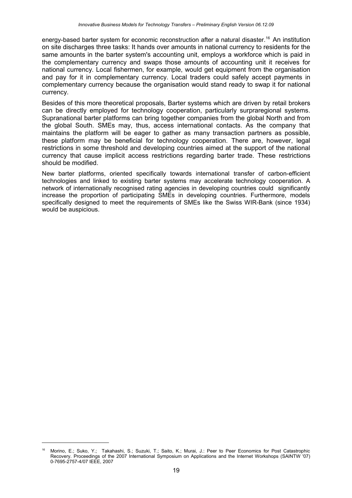energy-based barter system for economic reconstruction after a natural disaster.<sup>16</sup> An institution on site discharges three tasks: It hands over amounts in national currency to residents for the same amounts in the barter system's accounting unit, employs a workforce which is paid in the complementary currency and swaps those amounts of accounting unit it receives for national currency. Local fishermen, for example, would get equipment from the organisation and pay for it in complementary currency. Local traders could safely accept payments in complementary currency because the organisation would stand ready to swap it for national currency.

Besides of this more theoretical proposals, Barter systems which are driven by retail brokers can be directly employed for technology cooperation, particularly surpraregional systems. Supranational barter platforms can bring together companies from the global North and from the global South. SMEs may, thus, access international contacts. As the company that maintains the platform will be eager to gather as many transaction partners as possible, these platform may be beneficial for technology cooperation. There are, however, legal restrictions in some threshold and developing countries aimed at the support of the national currency that cause implicit access restrictions regarding barter trade. These restrictions should be modified.

New barter platforms, oriented specifically towards international transfer of carbon-efficient technologies and linked to existing barter systems may accelerate technology cooperation. A network of internationally recognised rating agencies in developing countries could significantly increase the proportion of participating SMEs in developing countries. Furthermore, models specifically designed to meet the requirements of SMEs like the Swiss WIR-Bank (since 1934) would be auspicious.

<span id="page-18-0"></span><sup>16</sup> Morino, E.; Suko, Y.; Takahashi, S.; Suzuki, T.; Saito, K.; Murai, J.: Peer to Peer Economics for Post Catastrophic Recovery. Proceedings of the 2007 International Symposium on Applications and the Internet Workshops (SAINTW '07) 0-7695-2757-4/07 IEEE, 2007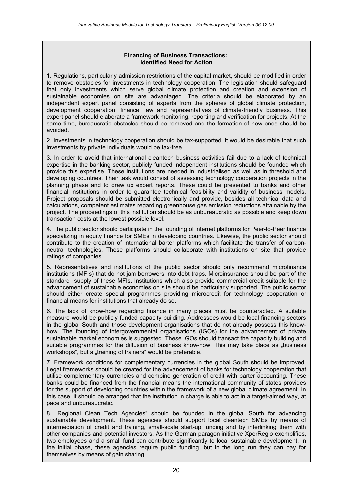#### **Financing of Business Transactions: Identified Need for Action**

1. Regulations, particularly admission restrictions of the capital market, should be modified in order to remove obstacles for investments in technology cooperation. The legislation should safeguard that only investments which serve global climate protection and creation and extension of sustainable economies on site are advantaged. The criteria should be elaborated by an independent expert panel consisting of experts from the spheres of global climate protection, development cooperation, finance, law and representatives of climate-friendly business. This expert panel should elaborate a framework monitoring, reporting and verification for projects. At the same time, bureaucratic obstacles should be removed and the formation of new ones should be avoided.

2. Investments in technology cooperation should be tax-supported. It would be desirable that such investments by private individuals would be tax-free.

3. In order to avoid that international cleantech business activities fail due to a lack of technical expertise in the banking sector, publicly funded independent institutions should be founded which provide this expertise. These institutions are needed in industrialised as well as in threshold and developing countries. Their task would consist of assessing technology cooperation projects in the planning phase and to draw up expert reports. These could be presented to banks and other financial institutions in order to guarantee technical feasibility and validity of business models. Project proposals should be submitted electronically and provide, besides all technical data and calculations, competent estimates regarding greenhouse gas emission reductions attainable by the project. The proceedings of this institution should be as unbureaucratic as possible and keep down transaction costs at the lowest possible level.

4. The public sector should participate in the founding of internet platforms for Peer-to-Peer finance specializing in equity finance for SMEs in developing countries. Likewise, the public sector should contribute to the creation of international barter platforms which facilitate the transfer of carbonneutral technologies. These platforms should collaborate with institutions on site that provide ratings of companies.

5. Representatives and institutions of the public sector should only recommend microfinance institutions (MFIs) that do not jam borrowers into debt traps. Microinsurance should be part of the standard supply of these MFIs. Institutions which also provide commercial credit suitable for the advancement of sustainable economies on site should be particularly supported. The public sector should either create special programmes providing microcredit for technology cooperation or financial means for institutions that already do so.

6. The lack of know-how regarding finance in many places must be counteracted. A suitable measure would be publicly funded capacity building. Addressees would be local financing sectors in the global South and those development organisations that do not already possess this knowhow. The founding of intergovernmental organisations (IGOs) for the advancement of private sustainable market economies is suggested. These IGOs should transact the capacity building and suitable programmes for the diffusion of business know-how. This may take place as "business workshops", but a "training of trainers" would be preferable.

7. Framework conditions for complementary currencies in the global South should be improved. Legal frameworks should be created for the advancement of banks for technology cooperation that utilise complementary currencies and combine generation of credit with barter accounting. These banks could be financed from the financial means the international community of states provides for the support of developing countries within the framework of a new global climate agreement. In this case, it should be arranged that the institution in charge is able to act in a target-aimed way, at pace and unbureaucratic.

8. "Regional Clean Tech Agencies" should be founded in the global South for advancing sustainable development. These agencies should support local cleantech SMEs by means of intermediation of credit and training, small-scale start-up funding and by interlinking them with other companies and potential investors. As the German paragon initiative XperRegio exemplifies, two employees and a small fund can contribute significantly to local sustainable development. In the initial phase, these agencies require public funding, but in the long run they can pay for themselves by means of gain sharing.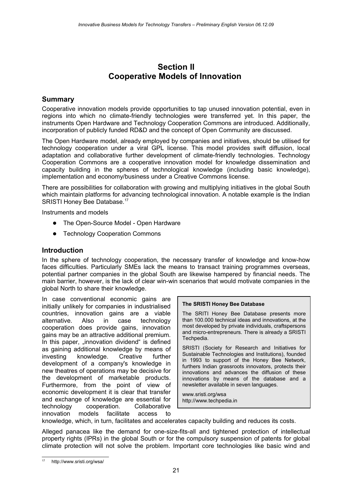# **Section II Cooperative Models of Innovation**

# **Summary**

Cooperative innovation models provide opportunities to tap unused innovation potential, even in regions into which no climate-friendly technologies were transferred yet. In this paper, the instruments Open Hardware and Technology Cooperation Commons are introduced. Additionally, incorporation of publicly funded RD&D and the concept of Open Community are discussed.

The Open Hardware model, already employed by companies and initiatives, should be utilised for technology cooperation under a viral GPL license. This model provides swift diffusion, local adaptation and collaborative further development of climate-friendly technologies. Technology Cooperation Commons are a cooperative innovation model for knowledge dissemination and capacity building in the spheres of technological knowledge (including basic knowledge), implementation and economy/business under a Creative Commons license.

There are possibilities for collaboration with growing and multiplying initiatives in the global South which maintain platforms for advancing technological innovation. A notable example is the Indian SRISTI Honey Bee Database.<sup>[17](#page-20-0)</sup>

Instruments and models

- The Open-Source Model Open Hardware
- Technology Cooperation Commons

# **Introduction**

In the sphere of technology cooperation, the necessary transfer of knowledge and know-how faces difficulties. Particularly SMEs lack the means to transact training programmes overseas, potential partner companies in the global South are likewise hampered by financial needs. The main barrier, however, is the lack of clear win-win scenarios that would motivate companies in the global North to share their knowledge.

In case conventional economic gains are initially unlikely for companies in industrialised countries, innovation gains are a viable alternative. Also in case technology cooperation does provide gains, innovation gains may be an attractive additional premium. In this paper, "innovation dividend" is defined as gaining additional knowledge by means of investing knowledge. Creative further development of a company's knowledge in new theatres of operations may be decisive for the development of marketable products. Furthermore, from the point of view of economic development it is clear that transfer and exchange of knowledge are essential for technology cooperation. Collaborative innovation models facilitate access to



The SRITI Honey Bee Database presents more than 100.000 technical ideas and innovations, at the most developed by private individuals, craftspersons and micro-entrepreneurs. There is already a SRISTI Techpedia.

SRISTI (Society for Research and Initiatives for Sustainable Technologies and Institutions), founded in 1993 to support of the Honey Bee Network, furthers Indian grassroots innovators, protects their innovations and advances the diffusion of these innovations by means of the database and a newsletter available in seven languages.

[www.sristi.org/wsa](http://www.sristi.org/wsa/) [http://www.techpedia.in](http://www.techpedia.in/)

knowledge, which, in turn, facilitates and accelerates capacity building and reduces its costs.

Alleged panacea like the demand for one-size-fits-all and tightened protection of intellectual property rights (IPRs) in the global South or for the compulsory suspension of patents for global climate protection will not solve the problem. Important core technologies like basic wind and

<span id="page-20-0"></span>http://www.sristi.org/wsa/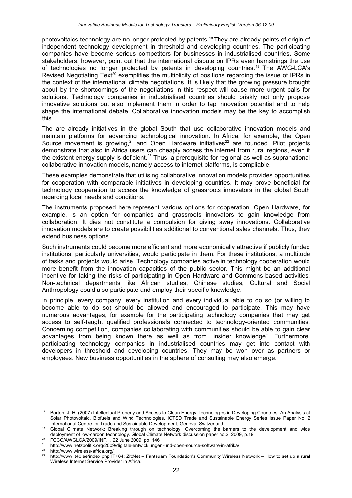photovoltaics technology are no longer protected by patents.[18](#page-21-0) They are already points of origin of independent technology development in threshold and developing countries. The participating companies have become serious competitors for businesses in industrialised countries. Some stakeholders, however, point out that the international dispute on IPRs even hamstrings the use of technologies no longer protected by patents in developing countries.<sup>[19](#page-21-1)</sup> The AWG-LCA's Revised Negotiating Text<sup>[20](#page-21-2)</sup> exemplifies the multiplicity of positions regarding the issue of IPRs in the context of the international climate negotiations. It is likely that the growing pressure brought about by the shortcomings of the negotiations in this respect will cause more urgent calls for solutions. Technology companies in industrialised countries should briskly not only propose innovative solutions but also implement them in order to tap innovation potential and to help shape the international debate. Collaborative innovation models may be the key to accomplish this.

The are already initiatives in the global South that use collaborative innovation models and maintain platforms for advancing technological innovation. In Africa, for example, the Open Source movement is growing, $21$  and Open Hardware initiatives<sup>[22](#page-21-4)</sup> are founded. Pilot projects demonstrate that also in Africa users can cheaply access the internet from rural regions, even if the existent energy supply is deficient.<sup>[23](#page-21-5)</sup> Thus, a prerequisite for regional as well as supranational collaborative innovation models, namely access to internet platforms, is compliable.

These examples demonstrate that utilising collaborative innovation models provides opportunities for cooperation with comparable initiatives in developing countries. It may prove beneficial for technology cooperation to access the knowledge of grassroots innovators in the global South regarding local needs and conditions.

The instruments proposed here represent various options for cooperation. Open Hardware, for example, is an option for companies and grassroots innovators to gain knowledge from collaboration. It dies not constitute a compulsion for giving away innovations. Collaborative innovation models are to create possibilities additional to conventional sales channels. Thus, they extend business options.

Such instruments could become more efficient and more economically attractive if publicly funded institutions, particularly universities, would participate in them. For these institutions, a multitude of tasks and projects would arise. Technology companies active in technology cooperation would more benefit from the innovation capacities of the public sector. This might be an additional incentive for taking the risks of participating in Open Hardware and Commons-based activities. Non-technical departments like African studies, Chinese studies, Cultural and Social Anthropology could also participate and employ their specific knowledge.

In principle, every company, every institution and every individual able to do so (or willing to become able to do so) should be allowed and encouraged to participate. This may have numerous advantages, for example for the participating technology companies that may get access to self-taught qualified professionals connected to technology-oriented communities. Concerning competition, companies collaborating with communities should be able to gain clear advantages from being known there as well as from "insider knowledge". Furthermore, participating technology companies in industrialised countries may get into contact with developers in threshold and developing countries. They may be won over as partners or employees. New business opportunities in the sphere of consulting may also emerge.

<span id="page-21-0"></span><sup>18</sup> Barton, J. H. (2007) Intellectual Property and Access to Clean Energy Technologies in Developing Countries: An Analysis of Solar Photovoltaic, Biofuels and Wind Technologies. ICTSD Trade and Sustainable Energy Series Issue Paper No. 2 International Centre for Trade and Sustainable Development, Geneva, Switzerland

<span id="page-21-1"></span><sup>&</sup>lt;sup>19</sup> Global Climate Network: Breaking through on technology. Overcoming the barriers to the development and wide deployment of low-carbon technology. Global Climate Network discussion paper no.2, 2009, p.19

<span id="page-21-2"></span><sup>20</sup> FCCC/AWGLCA/2009/INF.1, 22 June 2009, pp. 146

<span id="page-21-3"></span><sup>&</sup>lt;sup>21</sup> http://www.netzpolitik.org/2009/digitale-entwicklungen-und-open-source-software-in-afrika/<br><sup>22</sup> http://www.usiasless.africe.org/

<span id="page-21-4"></span><sup>&</sup>lt;sup>22</sup> http://www.wireless-africa.org/<br> $^{23}$  http://www.it46.oo/indox.php.IT

<span id="page-21-5"></span><sup>23</sup> <http://www.it46.se/index.php>IT+64: ZittNet – Fantsuam Foundation's Community Wireless Network – How to set up a rural Wireless Internet Service Provider in Africa.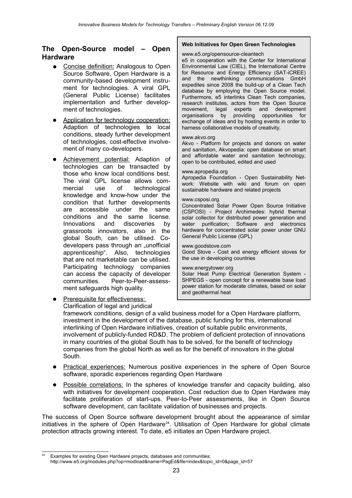# **The Open-Source model – Open Hardware**

- Concise definition: Analogous to Open Source Software, Open Hardware is a community-based development instrument for technologies. A viral GPL (General Public License) facilitates implementation and further development of technologies.
- Application for technology cooperation: Adaption of technologies to local conditions, steady further development of technologies, cost-effective involvement of many co-developers.
- Achievement potential: Adaption of technologies can be transacted by those who know local conditions best. The viral GPL license allows commercial use of technological knowledge and know-how under the condition that further developments are accessible under the same conditions and the same license. Innovations and discoveries by grassroots innovators, also in the global South, can be utilised. Codevelopers pass through an "unofficial apprenticeship". Also, technologies that are not marketable can be utilised. Participating technology companies can access the capacity of developer communities. Peer-to-Peer-assessment safeguards high quality.

South.

### **Web Initiatives for Open Green Technologies**

#### www.e5.org/opensource-cleantech

e5 in cooperation with the Center for International Environmental Law (CIEL), the International Centre for Resource and Energy Efficiency (SAT-iCREE) and the newthinking communications GmbH expedites since 2008 the build-up of a Clean Tech database by employing the Open Source model. Furthermore, e5 interlinks Clean Tech companies, research institutes, actors from the Open Source movement, legal experts and development organisations by providing opportunities for exchange of ideas and by hosting events in order to harness collaborative models of creativity.

#### www.akvo.org

Akvo - Platform for projects and donors on water and sanitation, Akvopedia: open database on smart and affordable water and sanitation technology, open to be contributed, edited and used

#### www.apropedia.org

Apropedia Foundation - Open Sustainability Network: Website with wiki and forum on open sustainable hardware and related projects

#### www.csposi.org

Concentrated Solar Power Open Source Initiative (CSPOSI) - Project Archimedes: hybrid thermal solar collector for distributed power generation and water purification; Software and electronics hardware for concentrated solar power under GNU General Public License (GPL)

#### www.goodstove.com

Good Stove - Cost and energy efficient stoves for the use in developing countries

#### www.energytower.org

Solar Heat Pump Electrical Generation System - SHPEGS - open concept for a renewable base load power station for moderate climates, based on solar and geothermal heat

- Prerequisite for effectiveness: Clarification of legal and juridical framework conditions, design of a valid business model for a Open Hardware platform, investment in the development of the database, public funding for this, international interlinking of Open Hardware initiatives, creation of suitable public environments, involvement of publicly-funded RD&D. The problem of deficient protection of innovations in many countries of the global South has to be solved, for the benefit of technology companies from the global North as well as for the benefit of innovators in the global
- Practical experiences: Numerous positive experiences in the sphere of Open Source software, sporadic experiences regarding Open Hardware
- Possible correlations: In the spheres of knowledge transfer and capacity building, also with initiatives for development cooperation. Cost reduction due to Open Hardware may facilitate proliferation of start-ups. Peer-to-Peer assessments, like in Open Source software development, can facilitate validation of businesses and projects.

The success of Open Source software development brought about the appearance of similar initiatives in the sphere of Open Hardware<sup>[24](#page-22-0)</sup>. Utilisation of Open Hardware for global climate protection attracts growing interest. To date, e5 initiates an Open Hardware project.

<span id="page-22-0"></span>Examples for existing Open Hardware projects, databases and communities: http://www.e5.org/modules.php?op=modload&name=PagEd&file=index&topic\_id=0&page\_id=57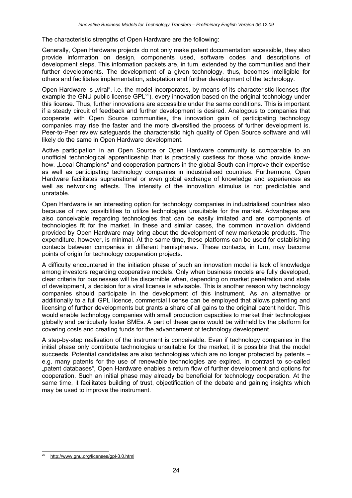The characteristic strengths of Open Hardware are the following:

Generally, Open Hardware projects do not only make patent documentation accessible, they also provide information on design, components used, software codes and descriptions of development steps. This information packets are, in turn, extended by the communities and their further developments. The development of a given technology, thus, becomes intelligible for others and facilitates implementation, adaptation and further development of the technology.

Open Hardware is "viral", i.e. the model incorporates, by means of its characteristic licenses (for example the GNU public license GPL<sup>[25](#page-23-0)</sup>), every innovation based on the original technology under this license. Thus, further innovations are accessible under the same conditions. This is important if a steady circuit of feedback and further development is desired. Analogous to companies that cooperate with Open Source communities, the innovation gain of participating technology companies may rise the faster and the more diversified the process of further development is. Peer-to-Peer review safeguards the characteristic high quality of Open Source software and will likely do the same in Open Hardware development.

Active participation in an Open Source or Open Hardware community is comparable to an unofficial technological apprenticeship that is practically costless for those who provide knowhow. "Local Champions" and cooperation partners in the global South can improve their expertise as well as participating technology companies in industrialised countries. Furthermore, Open Hardware facilitates supranational or even global exchange of knowledge and experiences as well as networking effects. The intensity of the innovation stimulus is not predictable and unratable.

Open Hardware is an interesting option for technology companies in industrialised countries also because of new possibilities to utilize technologies unsuitable for the market. Advantages are also conceivable regarding technologies that can be easily imitated and are components of technologies fit for the market. In these and similar cases, the common innovation dividend provided by Open Hardware may bring about the development of new marketable products. The expenditure, however, is minimal. At the same time, these platforms can be used for establishing contacts between companies in different hemispheres. These contacts, in turn, may become points of origin for technology cooperation projects.

A difficulty encountered in the initiation phase of such an innovation model is lack of knowledge among investors regarding cooperative models. Only when business models are fully developed, clear criteria for businesses will be discernible when, depending on market penetration and state of development, a decision for a viral license is advisable. This is another reason why technology companies should participate in the development of this instrument. As an alternative or additionally to a full GPL licence, commercial license can be employed that allows patenting and licensing of further developments but grants a share of all gains to the original patent holder. This would enable technology companies with small production capacities to market their technologies globally and particularly foster SMEs. A part of these gains would be withheld by the platform for covering costs and creating funds for the advancement of technology development.

A step-by-step realisation of the instrument is conceivable. Even if technology companies in the initial phase only contribute technologies unsuitable for the market, it is possible that the model succeeds. Potential candidates are also technologies which are no longer protected by patents – e.g. many patents for the use of renewable technologies are expired. In contrast to so-called "patent databases", Open Hardware enables a return flow of further development and options for cooperation. Such an initial phase may already be beneficial for technology cooperation. At the same time, it facilitates building of trust, objectification of the debate and gaining insights which may be used to improve the instrument.

<span id="page-23-0"></span><sup>25</sup> <http://www.gnu.org/licenses/gpl-3.0.html>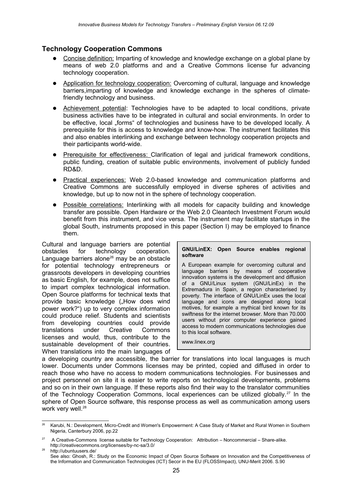# **Technology Cooperation Commons**

- Concise definition: Imparting of knowledge and knowledge exchange on a global plane by means of web 2.0 platforms and and a Creative Commons license fur advancing technology cooperation.
- Application for technology cooperation: Overcoming of cultural, language and knowledge barriers,imparting of knowledge and knowledge exchange in the spheres of climatefriendly technology and business.
- Achievement potential: Technologies have to be adapted to local conditions, private business activities have to be integrated in cultural and social environments. In order to be effective, local "forms" of technologies and business have to be developed locally. A prerequisite for this is access to knowledge and know-how. The instrument facilitates this and also enables interlinking and exchange between technology cooperation projects and their participants world-wide.
- Prerequisite for effectiveness: Clarification of legal and juridical framework conditions, public funding, creation of suitable public environments, involvement of publicly funded RD&D.
- Practical experiences: Web 2.0-based knowledge and communication platforms and Creative Commons are successfully employed in diverse spheres of activities and knowledge, but up to now not in the sphere of technology cooperation.
- Possible correlations: Interlinking with all models for capacity building and knowledge transfer are possible. Open Hardware or the Web 2.0 Cleantech Investment Forum would benefit from this instrument, and vice versa. The instrument may facilitate startups in the global South, instruments proposed in this paper (Section I) may be employed to finance them.

Cultural and language barriers are potential obstacles for technology cooperation. Language barriers alone<sup>[26](#page-24-0)</sup> may be an obstacle for potential technology entrepreneurs or grassroots developers in developing countries as basic English, for example, does not suffice to impart complex technological information. Open Source platforms for technical texts that provide basic knowledge ("How does wind power work?") up to very complex information could produce relief. Students and scientists from developing countries could provide translations under Creative Commons licenses and would, thus, contribute to the sustainable development of their countries. When translations into the main languages of

#### **GNU/LinEX: Open Source enables regional software**

A European example for overcoming cultural and language barriers by means of cooperative innovation systems is the development and diffusion of a GNU/Linux system (GNU/LinEx) in the Extremadura in Spain, a region characterised by poverty. The interface of GNU/LinEx uses the local language and icons are designed along local motives, for example a mythical bird known for its swiftness for the internet browser. More than 70.000 users without prior computer experience gained access to modern communications technologies due to this local software.

www.linex.org

a developing country are accessible, the barrier for translations into local languages is much lower. Documents under Commons licenses may be printed, copied and diffused in order to reach those who have no access to modern communications technologies. For businesses and project personnel on site it is easier to write reports on technological developments, problems and so on in their own language. If these reports also find their way to the translator communities of the Technology Cooperation Commons, local experiences can be utilized globally.[27](#page-24-1) In the sphere of Open Source software, this response process as well as communication among users work very well.<sup>[28](#page-24-2)</sup>

<span id="page-24-0"></span><sup>&</sup>lt;sup>26</sup> Karubi, N.: Development, Micro-Credit and Women's Empowerment: A Case Study of Market and Rural Women in Southern Nigeria, Canterbury 2006, pp.22

<span id="page-24-1"></span><sup>&</sup>lt;sup>27</sup> A Creative-Commons license suitable for Technology Cooperation: Attribution – Noncommercial – Share-alike. http://creativecommons.org/licenses/by-nc-sa/3.0/

<span id="page-24-2"></span><sup>&</sup>lt;sup>28</sup> http://ubuntuusers.de/ See also: Ghosh, R.: Study on the Economic Impact of Open Source Software on Innovation and the Competitiveness of the Information and Communication Technologies (ICT) Secor in the EU (FLOSSImpact), UNU-Merit 2006. S.90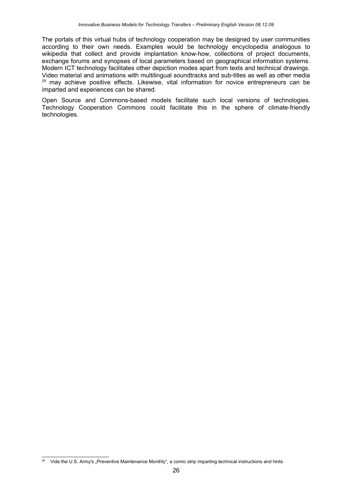The portals of this virtual hubs of technology cooperation may be designed by user communities according to their own needs. Examples would be technology encyclopedia analogous to wikipedia that collect and provide implantation know-how, collections of project documents, exchange forums and synopses of local parameters based on geographical information systems. Modern ICT technology facilitates other depiction modes apart from texts and technical drawings. Video material and animations with multilingual soundtracks and sub-titles as well as other media <sup>[29](#page-25-0)</sup> may achieve positive effects. Likewise, vital information for novice entrepreneurs can be imparted and experiences can be shared.

Open Source and Commons-based models facilitate such local versions of technologies. Technology Cooperation Commons could facilitate this in the sphere of climate-friendly technologies.

<span id="page-25-0"></span><sup>&</sup>lt;sup>29</sup> Vide the U.S. Army's "Preventive Maintenance Monthly", a comic strip imparting technical instructions and hints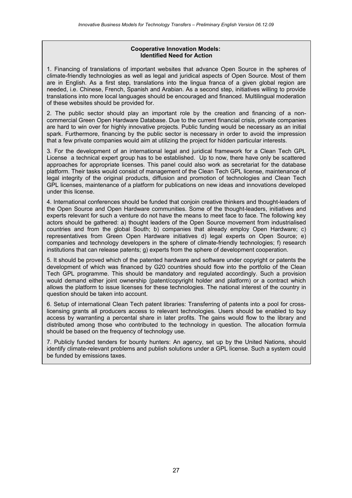#### **Cooperative Innovation Models: Identified Need for Action**

1. Financing of translations of important websites that advance Open Source in the spheres of climate-friendly technologies as well as legal and juridical aspects of Open Source. Most of them are in English. As a first step, translations into the lingua franca of a given global region are needed, i.e. Chinese, French, Spanish and Arabian. As a second step, initiatives willing to provide translations into more local languages should be encouraged and financed. Multilingual moderation of these websites should be provided for.

2. The public sector should play an important role by the creation and financing of a noncommercial Green Open Hardware Database. Due to the current financial crisis, private companies are hard to win over for highly innovative projects. Public funding would be necessary as an initial spark. Furthermore, financing by the public sector is necessary in order to avoid the impression that a few private companies would aim at utilizing the project for hidden particular interests.

3. For the development of an international legal and juridical framework for a Clean Tech GPL License a technical expert group has to be established. Up to now, there have only be scattered approaches for appropriate licenses. This panel could also work as secretariat for the database platform. Their tasks would consist of management of the Clean Tech GPL license, maintenance of legal integrity of the original products, diffusion and promotion of technologies and Clean Tech GPL licenses, maintenance of a platform for publications on new ideas and innovations developed under this license.

4. International conferences should be funded that conjoin creative thinkers and thought-leaders of the Open Source and Open Hardware communities. Some of the thought-leaders, initiatives and experts relevant for such a venture do not have the means to meet face to face. The following key actors should be gathered: a) thought leaders of the Open Source movement from industrialised countries and from the global South; b) companies that already employ Open Hardware; c) representatives from Green Open Hardware initiatives d) legal experts on Open Source; e) companies and technology developers in the sphere of climate-friendly technologies; f) research institutions that can release patents; g) experts from the sphere of development cooperation.

5. It should be proved which of the patented hardware and software under copyright or patents the development of which was financed by G20 countries should flow into the portfolio of the Clean Tech GPL programme. This should be mandatory and regulated accordingly. Such a provision would demand either joint ownership (patent/copyright holder and platform) or a contract which allows the platform to issue licenses for these technologies. The national interest of the country in question should be taken into account.

6. Setup of international Clean Tech patent libraries: Transferring of patents into a pool for crosslicensing grants all producers access to relevant technologies. Users should be enabled to buy access by warranting a percental share in later profits. The gains would flow to the library and distributed among those who contributed to the technology in question. The allocation formula should be based on the frequency of technology use.

7. Publicly funded tenders for bounty hunters: An agency, set up by the United Nations, should identify climate-relevant problems and publish solutions under a GPL license. Such a system could be funded by emissions taxes.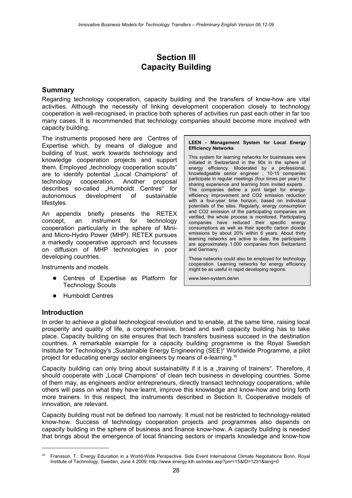# **Section III Capacity Building**

# **Summary**

Regarding technology cooperation, capacity building and the transfers of know-how are vital activities. Although the necessity of linking development cooperation closely to technology cooperation is well-recognised, in practice both spheres of activities run past each other in far too many cases. It is recommended that technology companies should become more involved with capacity building.

The instruments proposed here are Centres of Expertise which, by means of dialogue and building of trust, work towards technology and knowledge cooperation projects and support them. Employed "technology cooperation scouts" are to identify potential "Local Champions" of technology cooperation. Another proposal describes so-called "Humboldt Centres" for autonomous development of sustainable lifestyles.

An appendix briefly presents the RETEX concept, an instrument for technology cooperation particularly in the sphere of Miniand Micro-Hydro Power (MHP). RETEX pursues a markedly cooperative approach and focusses on diffusion of MHP technologies in poor developing countries.

Instruments and models

- Centres of Expertise as Platform for Technology Scouts
- Humboldt Centres

#### **Introduction**

In order to achieve a global technological revolution and to enable, at the same time, raising local prosperity and quality of life, a comprehensive, broad and swift capacity building has to take place. Capacity building on site ensures that tech transfers business succeed in the destination countries. A remarkable example for a capacity building programme is the Royal Swedish Institute for Technology's "Sustainable Energy Engineering (SEE)" Worldwide Programme, a pilot project for educating energy sector engineers by means of e-learning.<sup>[30](#page-27-0)</sup>

Capacity building can only bring about sustainability if it is a "training of trainers". Therefore, it should cooperate with "Local Champions" of clean tech business in developing countries. Some of them may, as engineers and/or entrepreneurs, directly transact technology cooperations, while others will pass on what they have learnt, improve this knowledge and know-how and bring forth more trainers. In this respect, the instruments described in Section II, Cooperative models of innovation, are relevant.

Capacity building must not be defined too narrowly. It must not be restricted to technology-related know-how. Success of technology cooperation projects and programmes also depends on capacity building in the sphere of business and finance know-how. A capacity building is needed that brings about the emergence of local financing sectors or imparts knowledge and know-how

**LEEN - Management System for Local Energy Efficiency Networks**

This system for learning networks for businesses were initiated in Switzerland in the 90s in the sphere of energy efficiency. Moderated by a professional, knowledgeable senior engineer , 10-15 companies participate in regular meetings (four times per year) for sharing experience and learning from invited experts. The companies define a joint target for energyefficiency improvement and CO2 emission reduction with a four-year time horizon, based on individual potentials of the sites. Regularly, energy consumption and CO2 emission of the participating companies are verified, the whole process is monitored. Participating companies have reduced their specific energy consumptions as well as their specific carbon dioxide emissions by about 20% within 6 years. About thirty learning networks are active to date, the participants are approximately 1.000 companies from Switzerland and Germany.

These networks could also be employed for technology cooperation. Learning networks for energy efficiency might be as useful in rapid developing regions.

www.leen-system.de/en

<span id="page-27-0"></span><sup>30</sup> Fransson, T.: Energy Education in a World-Wide Perspective. Side Event International Climate Negotiations Bonn, Royal Institute of Technology, Sweden, June 4 2009; http://www.energy.kth.se/index.asp?pnr=15&ID=1231&lang=0 28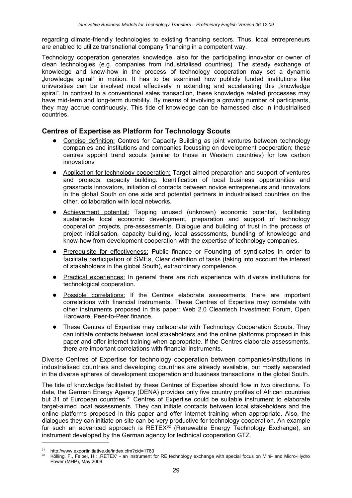regarding climate-friendly technologies to existing financing sectors. Thus, local entrepreneurs are enabled to utilize transnational company financing in a competent way.

Technology cooperation generates knowledge, also for the participating innovator or owner of clean technologies (e.g. companies from industrialised countries). The steady exchange of knowledge and know-how in the process of technology cooperation may set a dynamic "knowledge spiral" in motion. It has to be examined how publicly funded institutions like universities can be involved most effectively in extending and accelerating this ..knowledge spiral". In contrast to a conventional sales transaction, these knowledge related processes may have mid-term and long-term durability. By means of involving a growing number of participants, they may accrue continuously. This tide of knowledge can be harnessed also in industrialised countries.

# **Centres of Expertise as Platform for Technology Scouts**

- Concise definition: Centres for Capacity Building as joint ventures between technology companies and institutions and companies focussing on development cooperation; these centres appoint trend scouts (similar to those in Western countries) for low carbon innovations
- Application for technology cooperation: Target-aimed preparation and support of ventures and projects, capacity building. Identification of local business opportunities and grassroots innovators, initiation of contacts between novice entrepreneurs and innovators in the global South on one side and potential partners in industrialised countries on the other, collaboration with local networks.
- Achievement potential: Tapping unused (unknown) economic potential, facilitating **Support Contains and Construction** contains the sustainable local economic development, preparation and support of technology cooperation projects, pre-assessments. Dialogue and building of trust in the process of project initialisation, capacity building, local assessments, bundling of knowledge and know-how from development cooperation with the expertise of technology companies.
- Prerequisite for effectiveness: Public finance or Founding of syndicates in order to facilitate participation of SMEs, Clear definition of tasks (taking into account the interest of stakeholders in the global South), extraordinary competence.
- Practical experiences: In general there are rich experience with diverse institutions for technological cooperation.
- Possible correlations: If the Centres elaborate assessments, there are important correlations with financial instruments. These Centres of Expertise may correlate with other instruments proposed in this paper: Web 2.0 Cleantech Investment Forum, Open Hardware, Peer-to-Peer finance.
- These Centres of Expertise may collaborate with Technology Cooperation Scouts. They can initiate contacts between local stakeholders and the online platforms proposed in this paper and offer internet training when appropriate. If the Centres elaborate assessments, there are important correlations with financial instruments.

Diverse Centres of Expertise for technology cooperation between companies/institutions in industrialised countries and developing countries are already available, but mostly separated in the diverse spheres of development cooperation and business transactions in the global South.

The tide of knowledge facilitated by these Centres of Expertise should flow in two directions. To date, the German Energy Agency (DENA) provides only five country profiles of African countries but [31](#page-28-0) of European countries.<sup>31</sup> Centres of Expertise could be suitable instrument to elaborate target-aimed local assessments. They can initiate contacts between local stakeholders and the online platforms proposed in this paper and offer internet training when appropriate. Also, the dialogues they can initiate on site can be very productive for technology cooperation. An example fur such an advanced approach is RETEX<sup>[32](#page-28-1)</sup> (Renewable Energy Technology Exchange), an instrument developed by the German agency for technical cooperation GTZ.

<span id="page-28-0"></span><sup>31</sup> http://www.exportinitiative.de/index.cfm?cid=1780

<span id="page-28-1"></span><sup>32</sup> Kölling, F., Feibel, H.: "RETEX" - an instrument for RE technology exchange with special focus on Mini- and Micro-Hydro Power (MHP), May 2009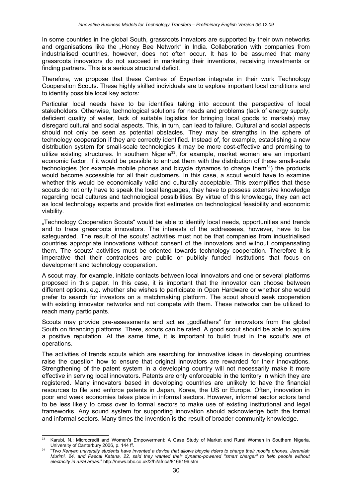In some countries in the global South, grassroots innvators are supported by their own networks and organisations like the "Honey Bee Network" in India. Collaboration with companies from industrialised countries, however, does not often occur. It has to be assumed that many grassroots innovators do not succeed in marketing their inventions, receiving investments or finding partners. This is a serious structural deficit.

Therefore, we propose that these Centres of Expertise integrate in their work Technology Cooperation Scouts. These highly skilled individuals are to explore important local conditions and to identify possible local key actors:

Particular local needs have to be identifies taking into account the perspective of local stakeholders. Otherwise, technological solutions for needs and problems (lack of energy supply, deficient quality of water, lack of suitable logistics for bringing local goods to markets) may disregard cultural and social aspects. This, in turn, can lead to failure. Cultural and social aspects should not only be seen as potential obstacles. They may be strengths in the sphere of technology cooperation if they are correctly identified. Instead of, for example, establishing a new distribution system for small-scale technologies it may be more cost-effective and promising to utilize existing structures. In southern Nigeria<sup>[33](#page-29-0)</sup>, for example, market women are an important economic factor. If it would be possible to entrust them with the distribution of these small-scale technologies (for example mobile phones and bicycle dynamos to charge them $34$ ) the products would become accessible for all their customers. In this case, a scout would have to examine whether this would be economically valid and culturally acceptable. This exemplifies that these scouts do not only have to speak the local languages, they have to possess extensive knowledge regarding local cultures and technological possibilities. By virtue of this knowledge, they can act as local technology experts and provide first estimates on technological feasibility and economic viability.

"Technology Cooperation Scouts" would be able to identify local needs, opportunities and trends and to trace grassroots innovators. The interests of the addressees, however, have to be safeguarded. The result of the scouts' activities must not be that companies from industrialised countries appropriate innovations without consent of the innovators and without compensating them. The scouts' activities must be oriented towards technology cooperation. Therefore it is imperative that their contractees are public or publicly funded institutions that focus on development and technology cooperation.

A scout may, for example, initiate contacts between local innovators and one or several platforms proposed in this paper. In this case, it is important that the innovator can choose between different options, e.g. whether she wishes to participate in Open Hardware or whether she would prefer to search for investors on a matchmaking platform. The scout should seek cooperation with existing innovator networks and not compete with them. These networks can be utilized to reach many participants.

Scouts may provide pre-assessments and act as "godfathers" for innovators from the global South on financing platforms. There, scouts can be rated. A good scout should be able to aquire a positive reputation. At the same time, it is important to build trust in the scout's are of operations.

The activities of trends scouts which are searching for innovative ideas in developing countries raise the question how to ensure that original innovators are rewarded for their innovations. Strengthening of the patent system in a developing country will not necessarily make it more effective in serving local innovators. Patents are only enforceable in the territory in which they are registered. Many innovators based in devoloping countries are unlikely to have the financial resources to file and enforce patents in Japan, Korea, the US or Europe. Often, innovation in poor and week economies takes place in informal sectors. However, informal sector actors tend to be less likely to cross over to formal sectors to make use of existing institutional and legal frameworks. Any sound system for supporting innovation should acknowledge both the formal and informal sectors. Many times the invention is the result of broader community knowledge.

<span id="page-29-0"></span><sup>&</sup>lt;sup>33</sup> Karubi, N.: Microcredit and Women's Empowerment: A Case Study of Market and Rural Women in Southern Nigeria. University of Canterbury 2006, p. 144 ff.

<span id="page-29-1"></span><sup>34</sup> "*Two Kenyan university students have invented a device that allows bicycle riders to charge their mobile phones. Jeremiah Murimi, 24, and Pascal Katana, 22, said they wanted their dynamo-powered "smart charger" to help people without electricity in rural areas.*" http://news.bbc.co.uk/2/hi/africa/8166196.stm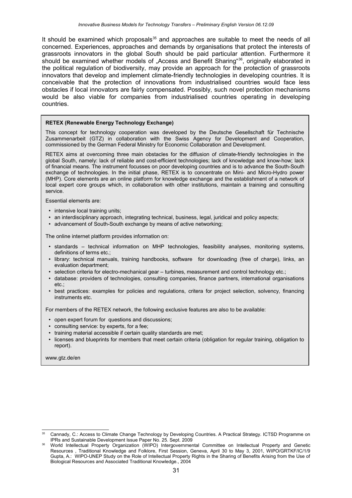It should be examined which proposals $35$  and approaches are suitable to meet the needs of all concerned. Experiences, approaches and demands by organisations that protect the interests of grassroots innovators in the global South should be paid particular attention. Furthermore it should be examined whether models of "Access and Benefit Sharing"<sup>[36](#page-30-1)</sup>, originally elaborated in the political regulation of biodiversity, may provide an approach for the protection of grassroots innovators that develop and implement climate-friendly technologies in developing countries. It is conceivable that the protection of innovations from industrialised countries would face less obstacles if local innovators are fairly compensated. Possibly, such novel protection mechanisms would be also viable for companies from industrialised countries operating in developing countries.

#### **RETEX (Renewable Energy Technology Exchange)**

This concept for technology cooperation was developed by the Deutsche Gesellschaft für Technische Zusammenarbeit (GTZ) in collaboration with the Swiss Agency for Development and Cooperation, commissioned by the German Federal Ministry for Economic Collaboration and Development.

RETEX aims at overcoming three main obstacles for the diffusion of climate-friendly technologies in the global South, namely: lack of reliable and cost-efficient technologies; lack of knowledge and know-how; lack of financial means. The instrument focusses on poor developing countries and is to advance the South-South exchange of technologies. In the initial phase, RETEX is to concentrate on Mini- and Micro-Hydro power (MHP). Core elements are an online platform for knowledge exchange and the establishment of a network of local expert core groups which, in collaboration with other institutions, maintain a training and consulting service.

Essential elements are:

- intensive local training units;
- an interdisciplinary approach, integrating technical, business, legal, juridical and policy aspects;
- advancement of South-South exchange by means of active networking;

The online internet platform provides information on:

- standards technical information on MHP technologies, feasibility analyses, monitoring systems, definitions of terms etc.;
- library: technical manuals, training handbooks, software for downloading (free of charge), links, an evaluation department;
- selection criteria for electro-mechanical gear turbines, measurement and control technology etc.;
- database: providers of technologies, consulting companies, finance partners, international organisations etc.;
- best practices: examples for policies and regulations, critera for project selection, solvency, financing instruments etc.

For members of the RETEX network, the following exclusive features are also to be available:

- open expert forum for questions and discussions;
- consulting service: by experts, for a fee;
- training material accessible if certain quality standards are met;
- licenses and blueprints for members that meet certain criteria (obligation for regular training, obligation to report).

www.gtz.de/en

<span id="page-30-0"></span>Cannady, C.: Access to Climate Change Technology by Developing Countries. A Practical Strategy. ICTSD Programme on IPRs and Sustainable Development Issue Paper No. 25. Sept. 2009

<span id="page-30-1"></span><sup>36</sup> World Intellectual Property Organization (WIPO) Intergovernmental Committee on Intellectual Property and Genetic Resources , Traditional Knowledge and Folklore, First Session, Geneva, April 30 to May 3, 2001, WIPO/GRTKF/IC/1/9 Gupta, A.: WIPO-UNEP Study on the Role of Intellectual Property Rights in the Sharing of Benefits Arising from the Use of Biological Resources and Associated Traditional Knowledge., 2004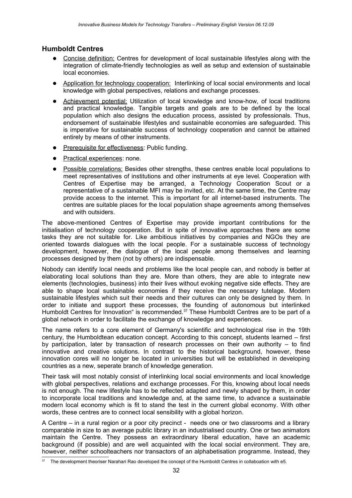# **Humboldt Centres**

- Concise definition: Centres for development of local sustainable lifestyles along with the integration of climate-friendly technologies as well as setup and extension of sustainable local economies.
- Application for technology cooperation: Interlinking of local social environments and local knowledge with global perspectives, relations and exchange processes.
- Achievement potential: Utilization of local knowledge and know-how, of local traditions and practical knowledge. Tangible targets and goals are to be defined by the local population which also designs the education process, assisted by professionals. Thus, endorsement of sustainable lifestyles and sustainable economies are safeguarded. This is imperative for sustainable success of technology cooperation and cannot be attained entirely by means of other instruments.
- Prerequisite for effectiveness: Public funding.
- Practical experiences: none.
- Possible correlations: Besides other strengths, these centres enable local populations to meet representatives of institutions and other instruments at eye level. Cooperation with Centres of Expertise may be arranged, a Technology Cooperation Scout or a representative of a sustainable MFI may be invited, etc. At the same time, the Centre may provide access to the internet. This is important for all internet-based instruments. The centres are suitable places for the local population shape agreements among themselves and with outsiders.

The above-mentioned Centres of Expertise may provide important contributions for the initialisation of technology cooperation. But in spite of innovative approaches there are some tasks they are not suitable for. Like ambitious initiatives by companies and NGOs they are oriented towards dialogues with the local people. For a sustainable success of technology development, however, the dialogue of the local people among themselves and learning processes designed by them (not by others) are indispensable.

Nobody can identify local needs and problems like the local people can, and nobody is better at elaborating local solutions than they are. More than others, they are able to integrate new elements (technologies, business) into their lives without evoking negative side effects. They are able to shape local sustainable economies if they receive the necessary tutelage. Modern sustainable lifestyles which suit their needs and their cultures can only be designed by them. In order to initiate and support these processes, the founding of autonomous but interlinked Humboldt Centres for Innovation" is recommended.<sup>[37](#page-31-0)</sup> These Humboldt Centres are to be part of a global network in order to facilitate the exchange of knowledge and experiences.

The name refers to a core element of Germany's scientific and technological rise in the 19th century, the Humboldtean education concept. According to this concept, students learned – first by participation, later by transaction of research processes on their own authority – to find innovative and creative solutions. In contrast to the historical background, however, these innovation cores will no longer be located in universities but will be established in developing countries as a new, seperate branch of knowledge generation.

Their task will most notably consist of interlinking local social environments and local knowledge with global perspectives, relations and exchange processes. For this, knowing about local needs is not enough. The new lifestyle has to be reflected adapted and newly shaped by them, in order to incorporate local traditions and knowledge and, at the same time, to advance a sustainable modern local economy which is fit to stand the test in the current global economy. With other words, these centres are to connect local sensibility with a global horizon.

A Centre – in a rural region or a poor city precinct - needs one or two classrooms and a library comparable in size to an average public library in an industrialised country. One or two animators maintain the Centre. They possess an extraordinary liberal education, have an academic background (if possible) and are well acquainted with the local social environment. They are, however, neither schoolteachers nor transactors of an alphabetisation programme. Instead, they

<span id="page-31-0"></span><sup>&</sup>lt;sup>37</sup> The development theoriser Narahari Rao developed the concept of the Humboldt Centres in collaboation with e5.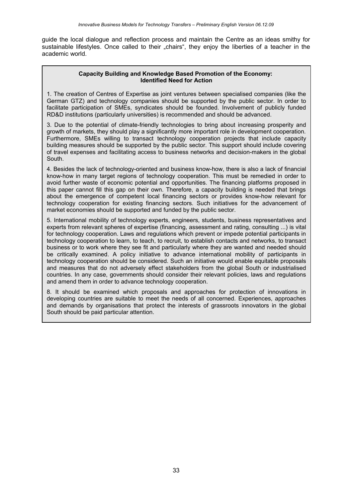guide the local dialogue and reflection process and maintain the Centre as an ideas smithy for sustainable lifestyles. Once called to their "chairs", they enjoy the liberties of a teacher in the academic world.

#### **Capacity Building and Knowledge Based Promotion of the Economy: Identified Need for Action**

1. The creation of Centres of Expertise as joint ventures between specialised companies (like the German GTZ) and technology companies should be supported by the public sector. In order to facilitate participation of SMEs, syndicates should be founded. Involvement of publicly funded RD&D institutions (particularly universities) is recommended and should be advanced.

3. Due to the potential of climate-friendly technologies to bring about increasing prosperity and growth of markets, they should play a significantly more important role in development cooperation. Furthermore, SMEs willing to transact technology cooperation projects that include capacity building measures should be supported by the public sector. This support should include covering of travel expenses and facilitating access to business networks and decision-makers in the global South.

4. Besides the lack of technology-oriented and business know-how, there is also a lack of financial know-how in many target regions of technology cooperation. This must be remedied in order to avoid further waste of economic potential and opportunities. The financing platforms proposed in this paper cannot fill this gap on their own. Therefore, a capacity building is needed that brings about the emergence of competent local financing sectors or provides know-how relevant for technology cooperation for existing financing sectors. Such initiatives for the advancement of market economies should be supported and funded by the public sector.

5. International mobility of technology experts, engineers, students, business representatives and experts from relevant spheres of expertise (financing, assessment and rating, consulting ...) is vital for technology cooperation. Laws and regulations which prevent or impede potential participants in technology cooperation to learn, to teach, to recruit, to establish contacts and networks, to transact business or to work where they see fit and particularly where they are wanted and needed should be critically examined. A policy initiative to advance international mobility of participants in technology cooperation should be considered. Such an initiative would enable equitable proposals and measures that do not adversely effect stakeholders from the global South or industrialised countries. In any case, governments should consider their relevant policies, laws and regulations and amend them in order to advance technology cooperation.

8. It should be examined which proposals and approaches for protection of innovations in developing countries are suitable to meet the needs of all concerned. Experiences, approaches and demands by organisations that protect the interests of grassroots innovators in the global South should be paid particular attention.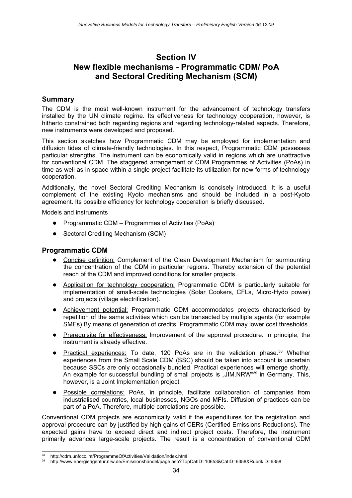# **Section IV New flexible mechanisms - Programmatic CDM/ PoA and Sectoral Crediting Mechanism (SCM)**

# **Summary**

The CDM is the most well-known instrument for the advancement of technology transfers installed by the UN climate regime. Its effectiveness for technology cooperation, however, is hitherto constrained both regarding regions and regarding technology-related aspects. Therefore, new instruments were developed and proposed.

This section sketches how Programmatic CDM may be employed for implementation and diffusion tides of climate-friendly technologies. In this respect, Programmatic CDM possesses particular strengths. The instrument can be economically valid in regions which are unattractive for conventional CDM. The staggered arrangement of CDM Programmes of Activities (PoAs) in time as well as in space within a single project facilitate its utilization for new forms of technology cooperation.

Additionally, the novel Sectoral Crediting Mechanism is concisely introduced. It is a useful complement of the existing Kyoto mechanisms and should be included in a post-Kyoto agreement. Its possible efficiency for technology cooperation is briefly discussed.

Models and instruments

- Programmatic CDM Programmes of Activities (PoAs)
- Sectoral Crediting Mechanism (SCM)

### **Programmatic CDM**

- Concise definition: Complement of the Clean Development Mechanism for surmounting the concentration of the CDM in particular regions. Thereby extension of the potential reach of the CDM and improved conditions for smaller projects.
- Application for technology cooperation: Programmatic CDM is particularly suitable for implementation of small-scale technologies (Solar Cookers, CFLs, Micro-Hydo power) and projects (village electrification).
- Achievement potential: Programmatic CDM accommodates projects characterised by repetition of the same activities which can be transacted by multiple agents (for example SMEs).By means of generation of credits, Programmatic CDM may lower cost thresholds.
- Prerequisite for effectiveness: Improvement of the approval procedure. In principle, the instrument is already effective.
- Practical experiences: To date, 120 PoAs are in the validation phase.<sup>[38](#page-33-0)</sup> Whether experiences from the Small Scale CDM (SSC) should be taken into account is uncertain because SSCs are only occasionally bundled. Practical experiences will emerge shortly. An example for successful bundling of small projects is "JIM.NRW"<sup>[39](#page-33-1)</sup> in Germany. This, however, is a Joint Implementation project.
- Possible correlations: PoAs, in principle, facilitate collaboration of companies from industrialised countries, local businesses, NGOs and MFIs. Diffusion of practices can be part of a PoA. Therefore, multiple correlations are possible.

Conventional CDM projects are economically valid if the expenditures for the registration and approval procedure can by justified by high gains of CERs (Certified Emissions Reductions). The expected gains have to exceed direct and indirect project costs. Therefore, the instrument primarily advances large-scale projects. The result is a concentration of conventional CDM

<span id="page-33-0"></span><sup>38</sup> http://cdm.unfccc.int/ProgrammeOfActivities/Validation/index.html

<span id="page-33-1"></span><sup>39</sup> http://www.energieagentur.nrw.de/Emissionshandel/page.asp?TopCatID=10653&CatID=6358&RubrikID=6358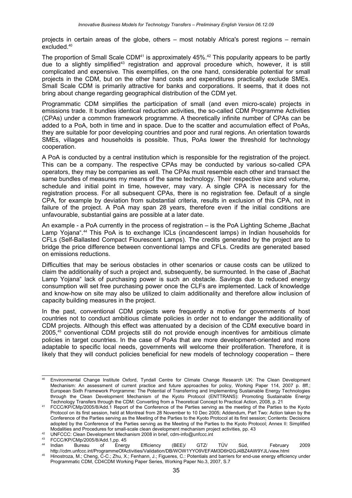projects in certain areas of the globe, others – most notably Africa's porest regions – remain excluded.[40](#page-34-0)

The proportion of Small Scale CDM<sup>[41](#page-34-1)</sup> is approximately  $45\%$ <sup>[42](#page-34-2)</sup> This popularity appears to be partly due to a slightly simplified<sup>[43](#page-34-3)</sup> registration and approval procedure which, however, it is still complicated and expensive. This exemplifies, on the one hand, considerable potential for small projects in the CDM, but on the other hand costs and expenditures practically exclude SMEs. Small Scale CDM is primarily attractive for banks and corporations. It seems, that it does not bring about change regarding geographical distribution of the CDM yet.

Programmatic CDM simplifies the participation of small (and even micro-scale) projects in emissions trade. It bundles identical reduction activities, the so-called CDM Programme Activities (CPAs) under a common framework programme. A theoretically infinite number of CPAs can be added to a PoA, both in time and in space. Due to the scatter and accumulation effect of PoAs, they are suitable for poor developing countries and poor and rural regions. An orientation towards SMEs, villages and households is possible. Thus, PoAs lower the threshold for technology cooperation.

A PoA is conducted by a central institution which is responsible for the registration of the project. This can be a company. The respective CPAs may be conducted by various so-called CPA operators, they may be companies as well. The CPAs must resemble each other and transact the same bundles of measures my means of the same technology. Their respective size and volume, schedule and initial point in time, however, may vary. A single CPA is necessary for the registration process. For all subsequent CPAs, there is no registration fee. Default of a single CPA, for example by deviation from substantial criteria, results in exclusion of this CPA, not in failure of the project. A PoA may span 28 years, therefore even if the initial conditions are unfavourable, substantial gains are possible at a later date.

An example - a PoA currently in the process of registration – is the PoA Lighting Scheme ..Bachat Lamp Yojana".[44](#page-34-4) This PoA is to exchange ICLs (incandescent lamps) in Indian households for CFLs (Self-Ballasted Compact Flourescent Lamps). The credits generated by the project are to bridge the price difference between conventional lamps and CFLs. Credits are generated based on emissions reductions.

Difficulties that may be serious obstacles in other scenarios or cause costs can be utilized to claim the additionality of such a project and, subsequently, be surmounted. In the case of "Bachat Lamp Yojana" lack of purchasing power is such an obstacle. Savings due to reduced energy consumption will set free purchasing power once the CLFs are implemented. Lack of knowledge and know-how on site may also be utilized to claim additionality and therefore allow inclusion of capacity building measures in the project.

In the past, conventional CDM projects were frequently a motive for governments of host countries not to conduct ambitious climate policies in order not to endanger the additionality of CDM projects. Although this effect was attenuated by a decision of the CDM executive board in 2005,<sup>[45](#page-34-5)</sup> conventional CDM projects still do not provide enough incentives for ambitious climate policies in target countries. In the case of PoAs that are more development-oriented and more adaptable to specific local needs, governments will welcome their proliferation. Therefore, it is likely that they will conduct policies beneficial for new models of technology cooperation – there

<span id="page-34-0"></span><sup>40</sup> Environmental Change Institute Oxford, Tyndall Centre for Climate Change Research UK: The Clean Development Mechanism: An assessment of current practice and future approaches for policy, Working Paper 114, 2007 p. 8ff.; European Sixth Framework Porgramme: The Potential of Transferring and Implementing Sustainable Energy Technologies through the Clean Development Mechanism of the Kyoto Protocol (ENTTRANS): Promoting Sustainable Energy Technology Transfers through the CDM: Converting from a Theoretical Concept to Practical Action, 2008, p. 21

<span id="page-34-1"></span><sup>41</sup> FCCC/KP/CMp/2005/8/Add.1 Report of the Conference of the Parties serving as the meeting of the Parties to the Kyoto Protocol on its first session, held at Montreal from 28 November to 10 Dec 2005; Addendum, Part Two: Action taken by the Conference of the Parties serving as the Meeting of the Parties to the Kyoto Protocol at its first session; Contents: Decisions adopted by the Conference of the Parties serving as the Meeting of the Parties to the Kyoto Protocol; Annex II: Simplified Modalities and Procedures for small-scale clean development mechanism project activities, pp. 43

<span id="page-34-2"></span><sup>42</sup> UNFCCC: Clean Development Mechanism 2008 in brief, cdm-info@unfccc.int

<span id="page-34-4"></span><span id="page-34-3"></span>

<sup>&</sup>lt;sup>43</sup> FCCC/KP/CMp/2005/8/Add.1,pp. 45<br><sup>44</sup> Indian Bureau of Energy <sup>44</sup> Indian Bureau of Energy Efficiency (BEE)/ GTZ/ TÜV Süd, February 2009 http://cdm.unfccc.int/ProgrammeOfActivities/Validation/DB/WOW1YYO9VEFAM3D6H2GJ4BZ4AW9YJL/view.html

<span id="page-34-5"></span>Hinostroza, M.; Cheng, C-C.; Zhu, X.; Fenhann, J.; Figueres, C.: Potentials and barriers for end-use energy efficiency under Programmatic CDM, CD4CDM Working Paper Series, Working Paper No.3, 2007, S.7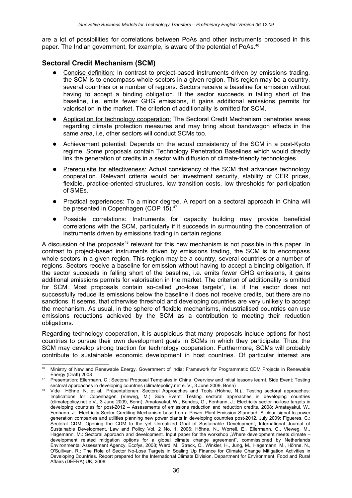are a lot of possibilities for correlations between PoAs and other instruments proposed in this paper. The Indian government, for example, is aware of the potential of PoAs.[46](#page-35-0)

# **Sectoral Credit Mechanism (SCM)**

- Concise definition: In contrast to project-based instruments driven by emissions trading, the SCM is to encompass whole sectors in a given region. This region may be a country, several countries or a number of regions. Sectors receive a baseline for emission without having to accept a binding obligation. If the sector succeeds in falling short of the baseline, i.e. emits fewer GHG emissions, it gains additional emissions permits for valorisation in the market. The criterion of additionality is omitted for SCM.
- Application for technology cooperation: The Sectoral Credit Mechanism penetrates areas regarding climate protection measures and may bring about bandwagon effects in the same area, i.e, other sectors will conduct SCMs too.
- Achievement potential: Depends on the actual consistency of the SCM in a post-Kyoto regime. Some proposals contain Technology Penetration Baselines which would directly link the generation of credits in a sector with diffusion of climate-friendly technologies.
- Prerequisite for effectiveness: Actual consistency of the SCM that advances technology cooperation. Relevant criteria would be: investment security, stability of CER prices, flexible, practice-oriented structures, low transition costs, low thresholds for participation of SMEs.
- Practical experiences: To a minor degree. A report on a sectoral approach in China will be presented in Copenhagen (COP 15).<sup>[47](#page-35-1)</sup>
- Possible correlations: Instruments for capacity building may provide beneficial correlations with the SCM, particularly if it succeeds in surmounting the concentration of instruments driven by emissions trading in certain regions.

A discussion of the proposals<sup>[48](#page-35-2)</sup> relevant for this new mechanism is not possible in this paper. In contrast to project-based instruments driven by emissions trading, the SCM is to encompass whole sectors in a given region. This region may be a country, several countries or a number of regions. Sectors receive a baseline for emission without having to accept a binding obligation. If the sector succeeds in falling short of the baseline, i.e. emits fewer GHG emissions, it gains additional emissions permits for valorisation in the market. The criterion of additionality is omitted for SCM. Most proposals contain so-called "no-lose targets", i.e. if the sector does not successfully reduce its emissions below the baseline it does not receive credits, but there are no sanctions. It seems, that otherwise threshold and developing countries are very unlikely to accept the mechanism. As usual, in the sphere of flexible mechanisms, industrialised countries can use emissions reductions achieved by the SCM as a contribution to meeting their reduction obligations.

Regarding technology cooperation, it is auspicious that many proposals include options for host countries to pursue their own development goals in SCMs in which they participate. Thus, the SCM may develop strong traction for technology cooperation. Furthermore, SCMs will probably contribute to sustainable economic development in host countries. Of particular interest are

<span id="page-35-0"></span><sup>46</sup> Ministry of New and Renewable Energy. Government of India: Framework for Programmatic CDM Projects in Renewable Energy (Draft) 2008

<span id="page-35-1"></span><sup>47</sup> Presentation: Ellermann, C.: Sectoral Proposal Templates in China: Overview and initial lessons learnt. Side Event: Testing sectoral approaches in developing countries (climatepolicy.net e. V., 3 June 2009, Bonn)

<span id="page-35-2"></span>Vide Höhne, N. et al.: Präsentationen: Sectoral Approaches and Tools (Höhne, N.)., Testing sectoral approaches: Implications for Copenhagen (Vieweg, M.) Side Event: Testing sectoral approaches in developing countries (climatepolicy.net e.V., 3 June 2009, Bonn); Amatayakul, W., Bendes, G., Fenhann, J.: Electricity sector no-lose targets in developing countries for post-2012 – Assessments of emissions reduction and reduction credits, 2008; Amatayakul, W., Fenhann, J.: Electricity Sector Crediting Mechanism based on a Power Plant Emission Standard: A clear signal to power generation companies and utilities planning new power plants in developing countries post-2012, July 2009; Figueres, C.: Sectoral CDM: Opening the CDM to the yet Unrealized Goal of Sustainable Development, International Journal of Sustainable Development, Law and Policy Vol. 2 No. 1, 2006; Höhne, N., Worrell, E., Ellermann, C., Vieweg, M., Hagemann, M.: Sectoral approach and development. Input paper for the workshop "Where development meets climate – development related mitigation options for a global climate change agreement", commissioned by Netherlands Environmental Assessment Agency, Ecofys, 2008; Ward, M., Streck, C., Winkler, H., Jung, M., Hagemann, M., Höhne, N., O'Sullivan, R.: The Role of Sector No-Lose Targets in Scaling Up Finance for Climate Change Mitigation Activities in Developing Countries. Report prepared for the International Climate Division, Department for Environment, Food and Rural Affairs (DEFRA) UK, 2008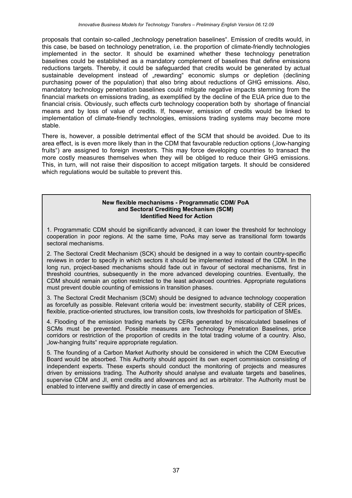proposals that contain so-called "technology penetration baselines". Emission of credits would, in this case, be based on technology penetration, i.e. the proportion of climate-friendly technologies implemented in the sector. It should be examined whether these technology penetration baselines could be established as a mandatory complement of baselines that define emissions reductions targets. Thereby, it could be safeguarded that credits would be generated by actual sustainable development instead of "rewarding" economic slumps or depletion (declining purchasing power of the population) that also bring about reductions of GHG emissions. Also, mandatory technology penetration baselines could mitigate negative impacts stemming from the financial markets on emissions trading, as exemplified by the decline of the EUA price due to the financial crisis. Obviously, such effects curb technology cooperation both by shortage of financial means and by loss of value of credits. If, however, emission of credits would be linked to implementation of climate-friendly technologies, emissions trading systems may become more stable.

There is, however, a possible detrimental effect of the SCM that should be avoided. Due to its area effect, is is even more likely than in the CDM that favourable reduction options ("low-hanging fruits") are assigned to foreign investors. This may force developing countries to transact the more costly measures themselves when they will be obliged to reduce their GHG emissions. This, in turn, will not raise their disposition to accept mitigation targets. It should be considered which regulations would be suitable to prevent this.

#### **New flexible mechanisms - Programmatic CDM/ PoA and Sectoral Crediting Mechanism (SCM) Identified Need for Action**

1. Programmatic CDM should be significantly advanced, it can lower the threshold for technology cooperation in poor regions. At the same time, PoAs may serve as transitional form towards sectoral mechanisms.

2. The Sectoral Credit Mechanism (SCK) should be designed in a way to contain country-specific reviews in order to specify in which sectors it should be implemented instead of the CDM. In the long run, project-based mechanisms should fade out in favour of sectoral mechanisms, first in threshold countries, subsequently in the more advanced developing countries. Eventually, the CDM should remain an option restricted to the least advanced countries. Appropriate regulations must prevent double counting of emissions in transition phases.

3. The Sectoral Credit Mechanism (SCM) should be designed to advance technology cooperation as forcefully as possible. Relevant criteria would be: investment security, stability of CER prices, flexible, practice-oriented structures, low transition costs, low thresholds for participation of SMEs.

4. Flooding of the emission trading markets by CERs generated by miscalculated baselines of SCMs must be prevented. Possible measures are Technology Penetration Baselines, price corridors or restriction of the proportion of credits in the total trading volume of a country. Also, .low-hanging fruits" require appropriate requiation.

5. The founding of a Carbon Market Authority should be considered in which the CDM Executive Board would be absorbed. This Authority should appoint its own expert commission consisting of independent experts. These experts should conduct the monitoring of projects and measures driven by emissions trading. The Authority should analyse and evaluate targets and baselines, supervise CDM and JI, emit credits and allowances and act as arbitrator. The Authority must be enabled to intervene swiftly and directly in case of emergencies.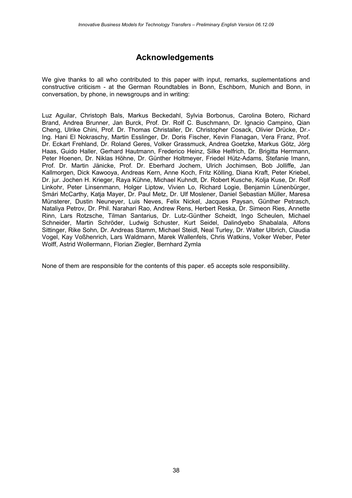# **Acknowledgements**

We give thanks to all who contributed to this paper with input, remarks, suplementations and constructive criticism - at the German Roundtables in Bonn, Eschborn, Munich and Bonn, in conversation, by phone, in newsgroups and in writing:

Luz Aguilar, Christoph Bals, Markus Beckedahl, Sylvia Borbonus, Carolina Botero, Richard Brand, Andrea Brunner, Jan Burck, Prof. Dr. Rolf C. Buschmann, Dr. Ignacio Campino, Qian Cheng, Ulrike Chini, Prof. Dr. Thomas Christaller, Dr. Christopher Cosack, Olivier Drücke, Dr.- Ing. Hani El Nokraschy, Martin Esslinger, Dr. Doris Fischer, Kevin Flanagan, Vera Franz, Prof. Dr. Eckart Frehland, Dr. Roland Geres, Volker Grassmuck, Andrea Goetzke, Markus Götz, Jörg Haas, Guido Haller, Gerhard Hautmann, Frederico Heinz, Silke Helfrich, Dr. Brigitta Herrmann, Peter Hoenen, Dr. Niklas Höhne, Dr. Günther Holtmeyer, Friedel Hütz-Adams, Stefanie Imann, Prof. Dr. Martin Jänicke, Prof. Dr. Eberhard Jochem, Ulrich Jochimsen, Bob Jolliffe, Jan Kallmorgen, Dick Kawooya, Andreas Kern, Anne Koch, Fritz Kölling, Diana Kraft, Peter Kriebel, Dr. jur. Jochen H. Krieger, Raya Kühne, Michael Kuhndt, Dr. Robert Kusche, Kolja Kuse, Dr. Rolf Linkohr, Peter Linsenmann, Holger Liptow, Vivien Lo, Richard Logie, Benjamin Lünenbürger, Smári McCarthy, Katja Mayer, Dr. Paul Metz, Dr. Ulf Moslener, Daniel Sebastian Müller, Maresa Münsterer, Dustin Neuneyer, Luis Neves, Felix Nickel, Jacques Paysan, Günther Petrasch, Nataliya Petrov, Dr. Phil. Narahari Rao, Andrew Rens, Herbert Reska, Dr. Simeon Ries, Annette Rinn, Lars Rotzsche, Tilman Santarius, Dr. Lutz-Günther Scheidt, Ingo Scheulen, Michael Schneider, Martin Schröder, Ludwig Schuster, Kurt Seidel, Dalindyebo Shabalala, Alfons Sittinger, Rike Sohn, Dr. Andreas Stamm, Michael Steidl, Neal Turley, Dr. Walter Ulbrich, Claudia Vogel, Kay Voßhenrich, Lars Waldmann, Marek Wallenfels, Chris Watkins, Volker Weber, Peter Wolff, Astrid Wollermann, Florian Ziegler, Bernhard Zymla

None of them are responsible for the contents of this paper. e5 accepts sole responsibility.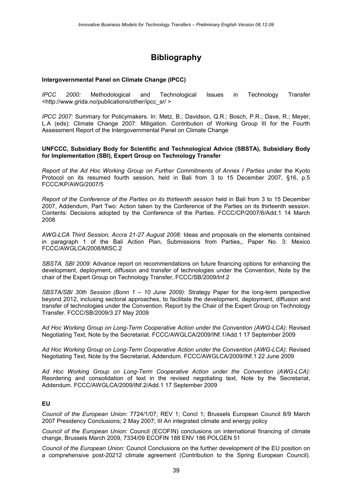# **Bibliography**

#### **Intergovernmental Panel on Climate Change (IPCC)**

*IPCC 2000:* Methodological and Technological Issues in Technology Transfer [<http://www.grida.no/publications/other/ipcc\\_sr/](file:///C:/DOKUME~1/Anja/LOKALE~1/Temp/<http://www.grida.no/publications/other/ipcc_sr/) >

*IPCC 2007:* Summary for Policymakers. In: Metz, B.; Davidson, Q.R.; Bosch, P.R.; Dave, R.; Meyer, L.A (eds): Climate Change 2007: Mitigation. Contribution of Working Group III for the Fourth Assessment Report of the Intergovernmental Panel on Climate Change

#### **UNFCCC, Subsidiary Body for Scientific and Technological Advice (SBSTA), Subsidiary Body for Implementation (SBI), Expert Group on Technology Transfer**

*Report of the Ad Hoc Working Group on Further Commitments of Annex I Parties* under the Kyoto Protocol on its resumed fourth session, held in Bali from 3 to 15 December 2007, §16, p.5 FCCC/KP/AWG/2007/5

*Report of the Conference of the Parties on its thirteenth session* held in Bali from 3 to 15 December 2007, Addendum, Part Two: Action taken by the Conference of the Parties on its thirteenth session. Contents: Decisions adopted by the Conference of the Parties. FCCC/CP/2007/6/Add.1 14 March 2008

*AWG-LCA Third Session, Accra 21-27 August 2008:* Ideas and proposals on the elements contained in paragraph 1 of the Bali Action Plan, Submissions from Parties,, Paper No. 3: Mexico FCCC/AWGLCA/2008/MISC.2

*SBSTA, SBI 2009:* Advance report on recommendations on future financing options for enhancing the development, deployment, diffusion and transfer of technologies under the Convention, Note by the chair of the Expert Group on Technology Transfer, FCCC/SB/2009/Inf.2

*SBSTA/SBI 30th Session (Bonn 1 – 10 June 2009):* Strategy Paper for the long-term perspective beyond 2012, inclusing sectoral approaches, to facilitate the development, deployment, diffusion and transfer of technologies under the Convention. Report by the Chair of the Expert Group on Technology Transfer. FCCC/SB/2009/3 27 May 2009

*Ad Hoc Working Group on Long-Term Cooperative Action under the Convention (AWG-LCA):* Revised Negotiating Text, Note by the Secretariat. FCCC/AWGLCA/2009/INf.1/Add.1 17 September 2009

*Ad Hoc Working Group on Long-Term Cooperative Action under the Convention (AWG-LCA):* Revised Negotiating Text, Note by the Secretariat, Addendum. FCCC/AWGLCA/2009/INf.1 22 June 2009

*Ad Hoc Working Group on Long-Term Cooperative Action under the Convention (AWG-LCA):* Reordering and consolidation of text in the revised negotiating text, Note by the Secretariat, Addendum. FCCC/AWGLCA/2009/INf.2/Add.1 17 September 2009

#### **EU**

*Council of the European Union:* 7724/1/07; REV 1; Concl 1; Brussels European Council 8/9 March 2007 Presidency Conclusions; 2 May 2007; III An integrated climate and energy policy

*Council of the European Union:* Council (ECOFIN) conclusions on international financing of climate change, Brussels March 2009, 7334/09 ECOFIN 188 ENV 186 POLGEN 51

*Council of the European Union:* Council Conclusions on the further development of the EU position on a comprehensive post-20212 climate agreement (Contribution to the Spring European Council).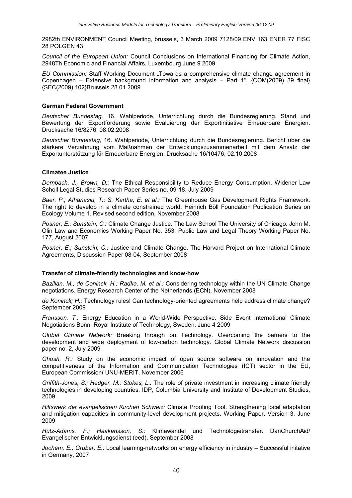2982th ENVIRONMENT Council Meeting, brussels, 3 March 2009 7128/09 ENV 163 ENER 77 FISC 28 POLGEN 43

*Council of the European Union:* Council Conclusions on International Financing for Climate Action, 2948Th Economic and Financial Affairs, Luxembourg June 9 2009

*EU Commission:* Staff Working Document "Towards a comprehensive climate change agreement in Copenhagen – Extensive background information and analysis – Part 1", {COM(2009) 39 final} {SEC(2009) 102}Brussels 28.01.2009

#### **German Federal Government**

*Deutscher Bundestag,* 16. Wahlperiode, Unterrichtung durch die Bundesregierung. Stand und Bewertung der Exportförderung sowie Evaluierung der Exportinitiative Erneuerbare Energien. Drucksache 16/8276, 08.02.2008

*Deutscher Bundestag,* 16. Wahlperiode, Unterrichtung durch die Bundesregierung. Bericht über die stärkere Verzahnung vom Maßnahmen der Entwicklungszusammenarbeit mit dem Ansatz der Exportunterstützung für Erneuerbare Energien. Drucksache 16/10476, 02.10.2008

#### **Climatee Justice**

*Dernbach, J., Brown, D.:* The Ethical Responsibility to Reduce Energy Consumption. Widener Law Scholl Legal Studies Research Paper Series no. 09-18. July 2009

*Baer, P.; Athanasiu, T.; S. Kartha, E. et al.:* The Greenhouse Gas Development Rights Framework. The right to develop in a climate constrained world. Heinrich Böll Foundation Publication Series on Ecology Volume 1. Revised second edition, November 2008

*Posner, E.; Sunstein, C.:* Climate Change Justice. The Law School The University of Chicago. John M. Olin Law and Economics Working Paper No. 353; Public Law and Legal Theory Working Paper No. 177, August 2007

*Posner, E.; Sunstein, C.:* Justice and Climate Change. The Harvard Project on International Climate Agreements, Discussion Paper 08-04, September 2008

#### **Transfer of climate-friendly technologies and know-how**

*Bazilian, M.; de Coninck, H.; Radka, M. et al.:* Considering technology within the UN Climate Change negotiations. Energy Research Center of the Netherlands (ECN), November 2008

*de Koninck; H.:* Technology rules! Can technology-oriented agreements help address climate change? September 2009

*Fransson, T.:* Energy Education in a World-Wide Perspective. Side Event International Climate Negotiations Bonn, Royal Institute of Technology, Sweden, June 4 2009

*Global Climate Network:* Breaking through on Technology. Overcoming the barriers to the development and wide deployment of low-carbon technology. Global Climate Network discussion paper no. 2, July 2009

*Ghosh, R.:* Study on the economic impact of open source software on innovation and the competitiveness of the Information and Communication Technologies (ICT) sector in the EU, European Commission**/** UNU-MERIT, November 2006

*Griffith-Jones, S.; Hedger, M.; Stokes, L.:* The role of private investment in increasing climate friendly technologies in developing countries. IDP, Columbia University and Institute of Development Studies, 2009

*Hilfswerk der evangelischen Kirchen Schweiz:* Climate Proofing Tool. Strengthening local adaptation and mitigation capacities in community-level development projects. Working Paper, Version 3. June 2009

*Hütz-Adams, F.; Haakansson, S.:* Klimawandel und Technologietransfer. DanChurchAid/ Evangelischer Entwicklungsdienst (eed), September 2008

*Jochem, E., Gruber, E.:* Local learning-networks on energy efficiency in industry – Successful initative in Germany, 2007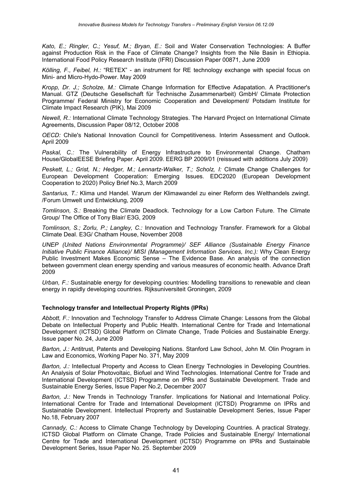*Kato, E.; Ringler, C.; Yesuf, M.; Bryan, E.:* Soil and Water Conservation Technologies: A Buffer against Production Risk in the Face of Climate Change? Insights from the Nile Basin in Ethiopia. International Food Policy Research Institute (IFRI) Discussion Paper 00871, June 2009

*Kölling, F., Feibel, H.:* "RETEX" - an instrument for RE technology exchange with special focus on Mini- and Micro-Hydo-Power. May 2009

*Kropp, Dr. J.; Scholze, M.:* Climate Change Information for Effective Adapatation. A Practitioner's Manual. GTZ (Deutsche Gesellschaft für Technische Zusammenarbeit) GmbH/ Climate Protection Programme/ Federal Ministry for Economic Cooperation and Development/ Potsdam Institute for Climate Impact Research (PIK), Mai 2009

*Newell, R.:* International Climate Technology Strategies. The Harvard Project on International Climate Agreements, Discussion Paper 08/12, October 2008

*OECD:* Chile's National Innovation Council for Competitiveness. Interim Assessment and Outlook. April 2009

*Paskal, C.:* The Vulnerability of Energy Infrastructure to Environmental Change. Chatham House/GlobalEESE Briefing Paper. April 2009. EERG BP 2009/01 (reissued with additions July 2009)

*Peskett, L.; Grist, N.; Hedger, M.; Lennartz-Walker, T.; Scholz, I:* Climate Change Challenges for European Development Cooperation: Emerging Issues. EDC2020 (European Development Cooperation to 2020) Policy Brief No.3, March 2009

*Santarius, T.:* Klima und Handel. Warum der Klimawandel zu einer Reform des Welthandels zwingt. /Forum Umwelt und Entwicklung, 2009

*Tomlinson, S.:* Breaking the Climate Deadlock. Technology for a Low Carbon Future. The Climate Group/ The Office of Tony Blair/ E3G, 2009

*Tomlinson, S.; Zorlu, P.; Langley, C.:* Innovation and Technology Transfer. Framework for a Global Climate Deal. E3G/ Chatham House, November 2008

*UNEP (United Nations Environmental Programme)/ SEF Alliance (Sustainable Energy Finance Initiative Public Finance Alliance)/ MISI (Management Information Services, Inc.):* Why Clean Energy Public Investment Makes Economic Sense – The Evidence Base. An analysis of the connection between government clean energy spending and various measures of economic health. Advance Draft 2009

*Urban, F.:* Sustainable energy for developing countries: Modelling transitions to renewable and clean energy in rapidly developing countries. Rijksuniversiteit Groningen, 2009

### **Technology transfer and Intellectual Property Rights (IPRs)**

*Abbott, F.:* Innovation and Technology Transfer to Address Climate Change: Lessons from the Global Debate on Intellectual Property and Public Health. International Centre for Trade and International Development (ICTSD) Global Platform on Climate Change, Trade Policies and Sustainable Energy. Issue paper No. 24, June 2009

*Barton, J.:* Antitrust, Patents and Developing Nations. Stanford Law School, John M. Olin Program in Law and Economics, Working Paper No. 371, May 2009

*Barton, J.:* Intellectual Property and Access to Clean Energy Technologies in Developing Countries. An Analysis of Solar Photovoltaic, Biofuel and Wind Technologies. International Centre for Trade and International Development (ICTSD) Programme on IPRs and Sustainable Development. Trade and Sustainable Energy Series, Issue Paper No.2, December 2007

*Barton, J.:* New Trends in Technology Transfer. Implications for National and International Policy. International Centre for Trade and International Development (ICTSD) Programme on IPRs and Sustainable Development. Intellectual Proprerty and Sustainable Development Series, Issue Paper No.18, February 2007

*Cannady, C.:* Access to Climate Change Technology by Developing Countries. A practical Strategy. ICTSD Global Platform on Climate Change, Trade Policies and Sustainable Energy/ International Centre for Trade and International Development (ICTSD) Programme on IPRs and Sustainable Development Series, Issue Paper No. 25. September 2009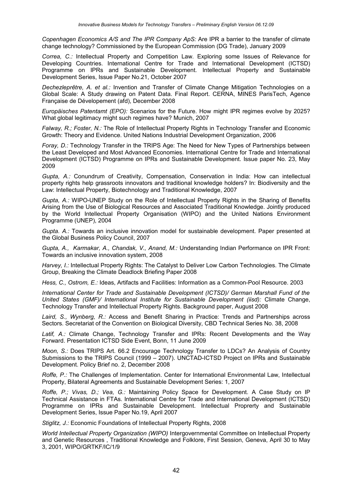*Copenhagen Economics A/S and The IPR Company ApS:* Are IPR a barrier to the transfer of climate change technology? Commissioned by the European Commission (DG Trade), January 2009

*Correa, C.:* Intellectual Property and Competition Law. Exploring some Issues of Relevance for Developing Countries. International Centre for Trade and International Development (ICTSD) Programme on IPRs and Sustainable Development. Intellectual Property and Sustainable Development Series, Issue Paper No.21, October 2007

*Dechezleprêtre, A. et al.:* Invention and Transfer of Climate Change Mitigation Technologies on a Global Scale: A Study drawing on Patent Data. Final Report. CERNA, MINES ParisTech, Agence Française de Dévelopement (afd), December 2008

*Europäisches Patentamt (EPO):* Scenarios for the Future. How might IPR regimes evolve by 2025? What global legitimacy might such regimes have? Munich, 2007

*Falway, R.; Foster, N.:* The Role of Intellectual Property Rights in Technology Transfer and Economic Growth: Theory and Evidence. United Nations Industrial Development Organization, 2006

*Foray, D.:* Technology Transfer in the TRIPS Age: The Need for New Types of Partnerships between the Least Developed and Most Advanced Economies. International Centre for Trade and International Development (ICTSD) Programme on IPRs and Sustainable Development. Issue paper No. 23, May 2009

*Gupta, A.:* Conundrum of Creativity, Compensation, Conservation in India: How can intellectual property rights help grassroots innovators and traditional knowledge holders? In: Biodiversity and the Law: Intellectual Property, Biotechnology and Traditional Knowledge, 2007

*Gupta, A.:* WIPO-UNEP Study on the Role of Intellectual Property Rights in the Sharing of Benefits Arising from the Use of Biological Resources and Associated Traditional Knowledge. Jointly produced by the World Intellectual Property Organisation (WIPO) and the United Nations Environment Programme (UNEP), 2004

*Gupta. A.:* Towards an inclusive innovation model for sustainable development. Paper presented at the Global Business Policy Council, 2007

*Gupta, A., Karmakar, A., Chandak, V., Anand, M.:* Understanding Indian Performance on IPR Front: Towards an inclusive innovation system, 2008

*Harvey, I.:* Intellectual Property Rights: The Catalyst to Deliver Low Carbon Technologies. The Climate Group, Breaking the Climate Deadlock Briefing Paper 2008

*Hess, C., Ostrom, E.:* Ideas, Artifacts and Facilities: Information as a Common-Pool Resource. 2003

*International Center for Trade and Sustainable Development (ICTSD)/ German Marshall Fund of the United States (GMF)/ International Institute for Sustainable Development (iisd):* Climate Change, Technology Transfer and Intellectual Property Rights. Background paper, August 2008

*Laird, S., Wynberg, R.:* Access and Benefit Sharing in Practice: Trends and Partnerships across Sectors. Secretariat of the Convention on Biological Diversity, CBD Technical Series No. 38, 2008

Latif, A.: Climate Change, Technology Transfer and IPRs: Recent Developments and the Way Forward. Presentation ICTSD Side Event, Bonn, 11 June 2009

*Moon, S.:* Does TRIPS Art. 66.2 Encourage Technology Transfer to LDCs? An Analysis of Country Submissions to the TRIPS Council (1999 – 2007). UNCTAD-ICTSD Project on IPRs and Sustainable Development. Policy Brief no. 2, December 2008

*Roffe, P.:* The Challenges of Implementation. Center for International Environmental Law, Intellectual Property, Bilateral Agreements and Sustainable Development Series: 1, 2007

*Roffe, P.; Vivas, D.; Vea, G.:* Maintaining Policy Space for Development. A Case Study on IP Technical Assistance in FTAs. International Centre for Trade and International Development (ICTSD) Programme on IPRs and Sustainable Development. Intellectual Proprerty and Sustainable Development Series, Issue Paper No.19, April 2007

**Stiglitz, J.: Economic Foundations of Intellectual Property Rights, 2008** 

*World Intellectual Property Organization (WIPO)* Intergovernmental Committee on Intellectual Property and Genetic Resources , Traditional Knowledge and Folklore, First Session, Geneva, April 30 to May 3, 2001, WIPO/GRTKF/IC/1/9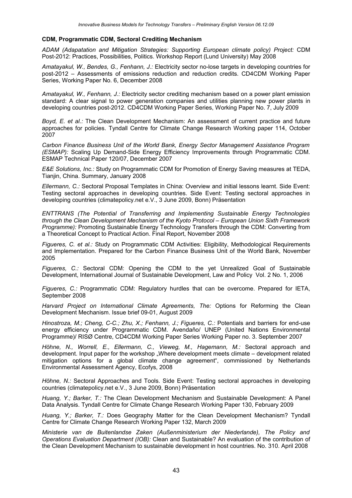#### **CDM, Programmatic CDM, Sectoral Crediting Mechanism**

*ADAM (Adapatation and Mitigation Strategies: Supporting European climate policy) Project:* CDM Post-2012: Practices, Possibilities, Politics. Workshop Report (Lund University) May 2008

*Amatayakul, W., Bendes, G., Fenhann, J.:* Electricity sector no-lose targets in developing countries for post-2012 – Assessments of emissions reduction and reduction credits. CD4CDM Working Paper Series, Working Paper No. 6, December 2008

*Amatayakul, W., Fenhann, J.:* Electricity sector crediting mechanism based on a power plant emission standard: A clear signal to power generation companies and utilities planning new power plants in developing countries post-2012. CD4CDM Working Paper Series, Working Paper No. 7, July 2009

*Boyd, E. et al.:* The Clean Development Mechanism: An assessment of current practice and future approaches for policies. Tyndall Centre for Climate Change Research Working paper 114, October 2007

*Carbon Finance Business Unit of the World Bank, Energy Sector Management Assistance Program (ESMAP):* Scaling Up Demand-Side Energy Efficiency Improvements through Programmatic CDM. ESMAP Technical Paper 120/07, December 2007

*E&E Solutions, Inc.:* Study on Programmatic CDM for Promotion of Energy Saving measures at TEDA, Tianjin, China. Summary, January 2008

*Ellermann, C.:* Sectoral Proposal Templates in China: Overview and initial lessons learnt. Side Event: Testing sectoral approaches in developing countries. Side Event: Testing sectoral approaches in developing countries (climatepolicy.net e.V., 3 June 2009, Bonn) Präsentation

*ENTTRANS (The Potential of Transferring and Implementing Sustainable Energy Technologies through the Clean Development Mechanism of the Kyoto Protocol – European Union Sixth Framework Programme):* Promoting Sustainable Energy Technology Transfers through the CDM: Converting from a Theoretical Concept to Practical Action. Final Report, November 2008

*Figueres, C. et al.:* Study on Programmatic CDM Activities: Eligibility, Methodological Requirements and Implementation. Prepared for the Carbon Finance Business Unit of the World Bank, November 2005

*Figueres, C.:* Sectoral CDM: Opening the CDM to the yet Unrealized Goal of Sustainable Development, International Journal of Sustainable Development, Law and Policy Vol. 2 No. 1, 2006

*Figueres, C.:* Programmatic CDM: Regulatory hurdles that can be overcome. Prepared for IETA, September 2008

*Harvard Project on International Climate Agreements, The:* Options for Reforming the Clean Development Mechanism. Issue brief 09-01, August 2009

*Hinostroza, M.; Cheng, C-C.; Zhu, X.; Fenhann, J.; Figueres, C.:* Potentials and barriers for end-use energy efficiency under Programmatic CDM. Avendaňo/ UNEP (United Nations Environmental Programme)/ RISØ Centre, CD4CDM Working Paper Series Working Paper no. 3. September 2007

*Höhne, N., Worrell, E., Ellermann, C., Vieweg, M., Hagemann, M.:* Sectoral approach and development. Input paper for the workshop "Where development meets climate – development related mitigation options for a global climate change agreement", commissioned by Netherlands Environmental Assessment Agency, Ecofys, 2008

*Höhne, N.:* Sectoral Approaches and Tools. Side Event: Testing sectoral approaches in developing countries (climatepolicy.net e.V., 3 June 2009, Bonn) Präsentation

*Huang, Y.; Barker, T.:* The Clean Development Mechanism and Sustainable Development: A Panel Data Analysis. Tyndall Centre for Climate Change Research Working Paper 130, February 2009

*Huang, Y.; Barker, T.:* Does Geography Matter for the Clean Development Mechanism? Tyndall Centre for Climate Change Research Working Paper 132, March 2009

*Ministerie van de Buitenlandse Zaken (Außenministerium der Niederlande), The Policy and Operations Evaluation Department (IOB):* Clean and Sustainable? An evaluation of the contribution of the Clean Development Mechanism to sustainable development in host countries. No. 310. April 2008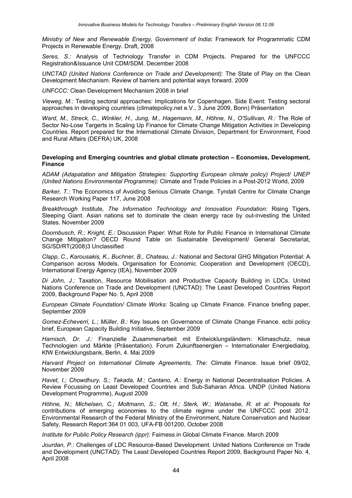*Ministry of New and Renewable Energy, Government of India***:** Framework for Programmatic CDM Projects in Renewable Energy. Draft, 2008

*Seres, S.:* Analysis of Technology Transfer in CDM Projects. Prepared for the UNFCCC Registration&Issuance Unit CDM/SDM. December 2008

*UNCTAD (United Nations Conference on Trade and Development):* The State of Play on the Clean Development Mechanism. Review of barriers and potential ways forward. 2009

*UNFCCC:* Clean Development Mechanism 2008 in brief

*Vieweg, M.:* Testing sectoral approaches: Implications for Copenhagen. Side Event: Testing sectoral approaches in developing countries (climatepolicy.net e.V., 3 June 2009, Bonn) Präsentation

Ward, M., Streck, C., Winkler, H., Jung, M., Hagemann, M., Höhne, N., O'Sullivan, R.: The Role of Sector No-Lose Targerts in Scaling Up Finance for Climate Change Mitigation Activities in Developing Countries. Report prepared for the International Climate Division, Department for Environment, Food and Rural Affairs (DEFRA) UK, 2008

#### **Developing and Emerging countries and global climate protection – Economies, Development, Finance**

*ADAM (Adapatation and Mitigation Strategies: Supporting European climate policy) Project/ UNEP (United Nations Environmental Programme):* Climate and Trade Policies in a Post-2012 World, 2009

*Barker, T.:* The Economics of Avoiding Serious Climate Change. Tyndall Centre for Climate Change Research Working Paper 117, June 2008

*Breakthrough Institute, The Information Technology and Innovation Foundation:* Rising Tigers, Sleeping Giant. Asian nations set to dominate the clean energy race by out-investing the United States. November 2009

*Doornbusch, R.; Knight, E.:* Discussion Paper: What Role for Public Finance in International Climate Change Mitigation? OECD Round Table on Sustainable Development/ General Secretariat, SG/SD/RT(2008)3 Unclassified

*Clapp, C., Karousakis, K., Buchner, B., Chateau, J.:* National and Sectoral GHG Mitigation Potential: A Comparison across Models. Organisation for Economic Cooperation and Development (OECD), International Energy Agency (IEA), November 2009

*Di John, J.:* Taxation, Resource Mobilisation and Productive Capacity Building in LDCs. United Nations Conference on Trade and Development (UNCTAD): The Least Developed Countries Report 2009, Background Paper No. 5, April 2008

*European Climate Foundation/ Climate Works:* Scaling up Climate Finance. Finance briefing paper, September 2009

*Gomez-Echeverri, L.; Müller, B.:* Key Issues on Governance of Climate Change Finance. ecbi policy brief, European Capacity Building Initiative, September 2009

*Harnisch, Dr. J.:* Finanzielle Zusammenarbeit mit Entwicklungsländern: Klimaschutz, neue Technologien und Märkte (Präsentation). Forum Zukunftsenergien – Internationaler Energiedialog. KfW Entwicklungsbank, Berlin, 4. Mai 2009

*Harvard Project on International Climate Agreements, The:* Climate Finance. Issue brief 09/02, November 2009

*Havet, I.; Chowdhury, S.; Takada, M.; Cantano, A.:* Energy in National Decentralisation Policies. A Review Focussing on Least Developed Countries and Sub-Saharan Africa. UNDP (United Nations Development Programme), August 2009

*Höhne, N.; Michelsen, C.; Moltmann, S.; Ott, H.; Sterk, W.; Watanabe, R. et al:* Proposals for contributions of emerging economies to the climate regime under the UNFCCC post 2012. Environmental Research of the Federal Ministry of the Environment, Nature Conservation and Nuclear Safety, Research Report 364 01 003, UFA-FB 001200, October 2008

*Institute for Public Policy Research (ippr):* Fairness in Global Climate Finance. March 2009

*Jourdan, P.:* Challenges of LDC Resource-Based Development. United Nations Conference on Trade and Development (UNCTAD): The Least Developed Countries Report 2009, Background Paper No. 4, April 2008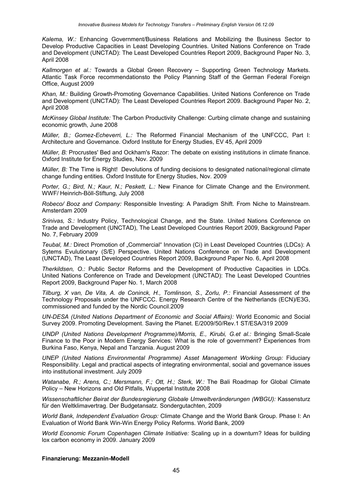*Kalema, W.:* Enhancing Government/Business Relations and Mobilizing the Business Sector to Develop Productive Capacities in Least Developing Countries. United Nations Conference on Trade and Development (UNCTAD): The Least Developed Countries Report 2009, Background Paper No. 3, April 2008

*Kallmorgen et al.:* Towards a Global Green Recovery – Supporting Green Technology Markets. Atlantic Task Force recommendationsto the Policy Planning Staff of the German Federal Foreign Office, August 2009

*Khan, M.:* Building Growth-Promoting Governance Capabilities. United Nations Conference on Trade and Development (UNCTAD): The Least Developed Countries Report 2009. Background Paper No. 2, April 2008

*McKinsey Global Institute:* The Carbon Productivity Challenge: Curbing climate change and sustaining economic growth, June 2008

*Müller, B.; Gomez-Echeverri, L.:* The Reformed Financial Mechanism of the UNFCCC, Part I: Architecture and Governance. Oxford Institute for Energy Studies, EV 45, April 2009

*Müller, B:* Procrustes' Bed and Ockham's Razor: The debate on existing institutions in climate finance. Oxford Institute for Energy Studies, Nov. 2009

*Müller, B:* The Time is Right! Devolutions of funding decisions to designated national/regional climate change funding entities. Oxford Institute for Energy Studies, Nov. 2009

*Porter, G.; Bird, N.; Kaur, N.; Peskett, L.:* New Finance for Climate Change and the Environment. WWF/ Heinrich-Böll-Stiftung, July 2008

*Robeco/ Booz and Company:* Responsible Investing: A Paradigm Shift. From Niche to Mainstream. Amsterdam 2009

*Srinivas, S.:* Industry Policy, Technological Change, and the State. United Nations Conference on Trade and Development (UNCTAD), The Least Developed Countries Report 2009, Background Paper No. 7, February 2009

*Teubal, M.:* Direct Promotion of "Commercial" Innovation (Ci) in Least Developed Countries (LDCs): A Sytems Evulutionary (S/E) Perspective. United Nations Conference on Trade and Development (UNCTAD), The Least Developed Countries Report 2009, Background Paper No. 6, April 2008

*Therkildsen, O.:* Public Sector Reforms and the Development of Productive Capacities in LDCs. United Nations Conference on Trade and Development (UNCTAD): The Least Developed Countries Report 2009, Background Paper No. 1, March 2008

*Tilburg, X van, De Vita, A. de Coninck, H., Tomlinson, S., Zorlu, P.:* Financial Assessment of the Technology Proposals under the UNFCCC. Energy Research Centre of the Netherlands (ECN)/E3G, commissioned and funded by the Nordic Council.2009

*UN-DESA (United Nations Department of Economic and Social Affairs):* World Economic and Social Survey 2009. Promoting Development. Saving the Planet. E/2009/50/Rev.1 ST/ESA/319 2009

*UNDP (United Nations Development Programme)/Morris, E., Kirubi, G.et al.:* Bringing Small-Scale Finance to the Poor in Modern Energy Services: What is the role of government? Experiences from Burkina Faso, Kenya, Nepal and Tanzania. August 2009

*UNEP (United Nations Environmental Programme) Asset Management Working Group:* Fiduciary Responsibility. Legal and practical aspects of integrating environmental, social and governance issues into institutional investment. July 2009

*Watanabe, R.; Arens, C.; Mersmann, F.; Ott, H.; Sterk, W.:* The Bali Roadmap for Global Climate Policy – New Horizons and Old Pitfalls, Wuppertal Institute 2008

*Wissenschaftlicher Beirat der Bundesregierung Globale Umweltveränderungen (WBGU):* Kassensturz für den Weltklimavertrag. Der Budgetansatz. Sondergutachten, 2009

*World Bank, Independent Evaluation Group:* Climate Change and the World Bank Group. Phase I: An Evaluation of World Bank Win-Win Energy Policy Reforms. World Bank, 2009

*World Economic Forum Copenhagen Climate Initiative:* Scaling up in a downturn? Ideas for building lox carbon economy in 2009. January 2009

#### **Finanzierung: Mezzanin-Modell**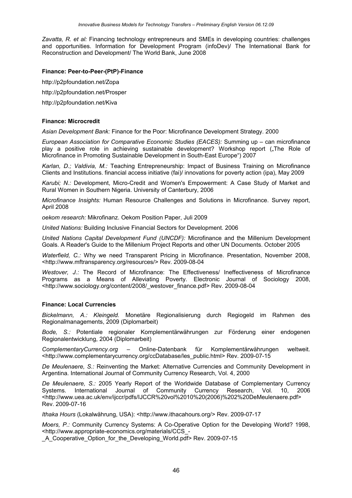*Zavatta, R. et al:* Financing technology entrepreneurs and SMEs in developing countries: challenges and opportunities. Information for Development Program (infoDev)/ The International Bank for Reconstruction and Development/ The World Bank, June 2008

#### **Finance: Peer-to-Peer-(PtP)-Finance**

http://p2pfoundation.net/Zopa

http://p2pfoundation.net/Prosper

http://p2pfoundation.net/Kiva

#### **Finance: Microcredit**

*Asian Development Bank:* Finance for the Poor: Microfinance Development Strategy. 2000

*European Association for Comparative Economic Studies (EACES):* Summing up – can microfinance play a positive role in achieving sustainable development? Workshop report ("The Role of Microfinance in Promoting Sustainable Development in South-East Europe") 2007

*Karlan, D.; Valdivia, M.:* Teaching Entrepreneurship: Impact of Business Training on Microfinance Clients and Institutions. financial access initiative (fai)/ innovations for poverty action (ipa), May 2009

*Karubi; N.:* Development, Micro-Credit and Women's Empowerment: A Case Study of Market and Rural Women in Southern Nigeria. University of Canterbury, 2006

*Microfinance Insights:* Human Resource Challenges and Solutions in Microfinance. Survey report, April 2008

*oekom research:* Mikrofinanz. Oekom Position Paper, Juli 2009

*United Nations:* Building Inclusive Financial Sectors for Development. 2006

*United Nations Capital Development Fund (UNCDF):* Microfinance and the Millenium Development Goals. A Reader's Guide to the Millenium Project Reports and other UN Documents. October 2005

*Waterfield, C.:* Why we need Transparent Pricing in Microfinance. Presentation, November 2008, [<http://www.mftransparency.org/resources/>](http://www.mftransparency.org/resources/) Rev. 2009-08-04

*Westover, J.:* The Record of Microfinance: The Effectiveness/ Ineffectiveness of Microfinance Programs as a Means of Alleviating Poverty. Electronic Journal of Sociology 2008, [<http://www.sociology.org/content/2008/\\_westover\\_finance.pdf>](http://www.sociology.org/content/2008/_westover_finance.pdf) Rev. 2009-08-04

#### **Finance: Local Currencies**

*Bickelmann, A.: Kleingeld.* Monetäre Regionalisierung durch Regiogeld im Rahmen des Regionalmanagements, 2009 (Diplomarbeit)

*Bode, S.:* Potentiale regionaler Komplementärwährungen zur Förderung einer endogenen Regionalentwicklung, 2004 (Diplomarbeit)

*ComplementaryCurrency.org* – Online-Datenbank für Komplementärwährungen weltweit. [<http://www.complementarycurrency.org/ccDatabase/les\\_public.html>](http://www.complementarycurrency.org/ccDatabase/les_public.html) Rev. 2009-07-15

*De Meulenaere, S.:* Reinventing the Market: Alternative Currencies and Community Development in Argentina. International Journal of Community Currency Research, Vol. 4, 2000

*De Meulenaere, S.:* 2005 Yearly Report of the Worldwide Database of Complementary Currency Systems. International Journal of Community Currency Research, Vol. 10, 2006 [<http://www.uea.ac.uk/env/ijccr/pdfs/IJCCR%20vol%2010%20\(2006\)%202%20DeMeulenaere.pdf>](http://www.uea.ac.uk/env/ijccr/pdfs/IJCCR vol 10 (2006) 2 DeMeulenaere.pdf) Rev. 2009-07-16

*Ithaka Hours* (Lokalwährung, USA): [<http://www.ithacahours.org/>](http://www.ithacahours.org/) Rev. 2009-07-17

*Moers, P.:* Community Currency Systems: A Co-Operative Option for the Developing World? 1998, [<http://www.appropriate-economics.org/materials/CCS\\_-](http://www.appropriate-economics.org/materials/CCS_-_A_Cooperative_Option_for_the_Developing_World.pdf)

[\\_A\\_Cooperative\\_Option\\_for\\_the\\_Developing\\_World.pdf>](http://www.appropriate-economics.org/materials/CCS_-_A_Cooperative_Option_for_the_Developing_World.pdf) Rev. 2009-07-15